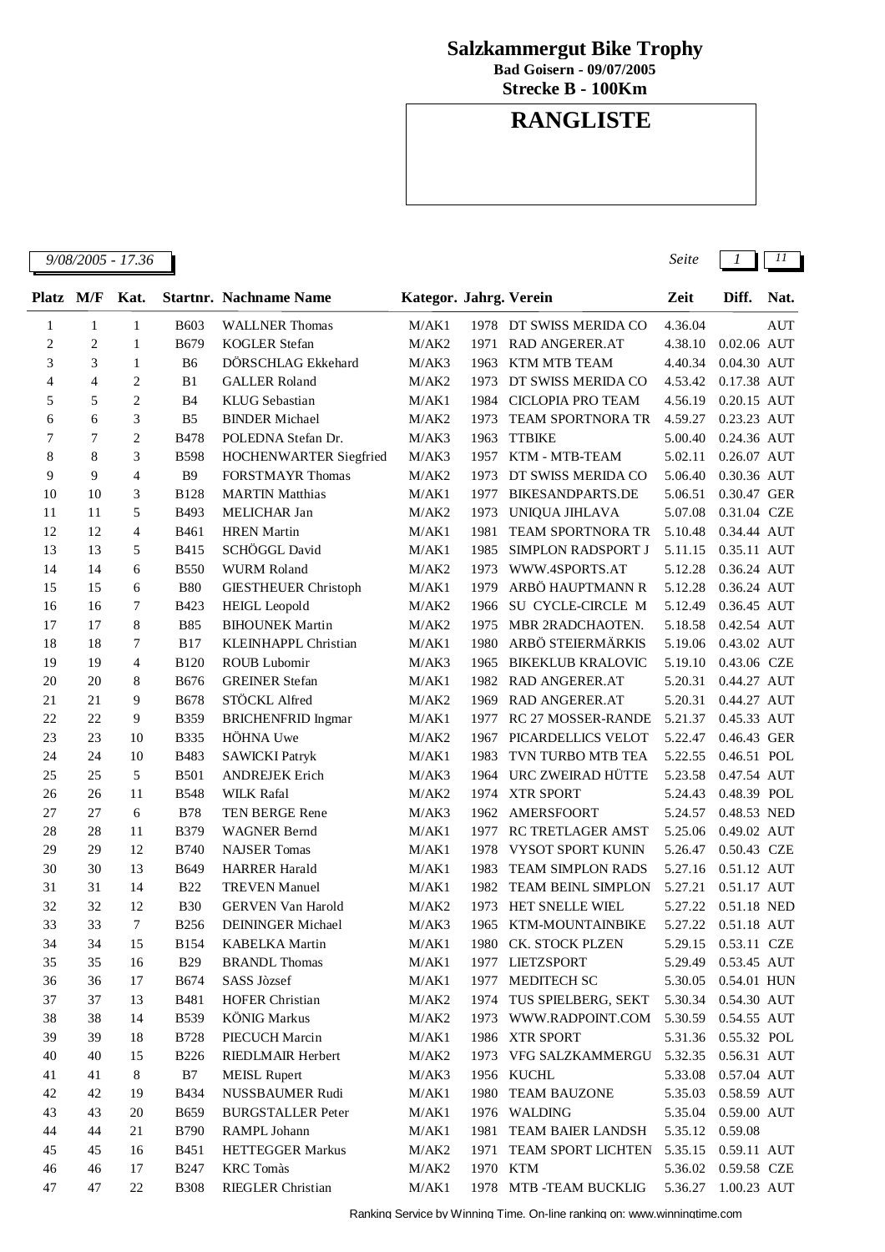## **Salzkammergut Bike Trophy**

**Bad Goisern - 09/07/2005**

**Strecke B - 100Km**

## **RANGLISTE**

| <i>9/08/2005 - 17</i> .<br>17.36<br>.<br>. | Seite |  |  |
|--------------------------------------------|-------|--|--|
|--------------------------------------------|-------|--|--|

| Platz          | M/F            | Kat.           |                | <b>Startnr. Nachname Name</b> | Kategor. Jahrg. Verein |      |                          | Zeit    | Diff.         | Nat. |
|----------------|----------------|----------------|----------------|-------------------------------|------------------------|------|--------------------------|---------|---------------|------|
| 1              | $\mathbf{1}$   | $\mathbf{1}$   | <b>B603</b>    | <b>WALLNER Thomas</b>         | M/AK1                  |      | 1978 DT SWISS MERIDA CO  | 4.36.04 |               | AUT  |
| $\overline{c}$ | $\overline{c}$ | $\mathbf{1}$   | <b>B679</b>    | <b>KOGLER Stefan</b>          | M/AK2                  | 1971 | <b>RAD ANGERER.AT</b>    | 4.38.10 | $0.02.06$ AUT |      |
| 3              | 3              | $\mathbf{1}$   | B <sub>6</sub> | DÖRSCHLAG Ekkehard            | M/AK3                  | 1963 | KTM MTB TEAM             | 4.40.34 | 0.04.30 AUT   |      |
| $\overline{4}$ | $\overline{4}$ | $\mathbf{2}$   | B1             | <b>GALLER Roland</b>          | M/AK2                  | 1973 | DT SWISS MERIDA CO       | 4.53.42 | 0.17.38 AUT   |      |
| 5              | 5              | $\mathbf{2}$   | B4             | <b>KLUG</b> Sebastian         | M/AK1                  | 1984 | <b>CICLOPIA PRO TEAM</b> | 4.56.19 | 0.20.15 AUT   |      |
| 6              | 6              | 3              | B <sub>5</sub> | <b>BINDER Michael</b>         | M/AK2                  | 1973 | <b>TEAM SPORTNORA TR</b> | 4.59.27 | 0.23.23 AUT   |      |
| 7              | 7              | $\overline{c}$ | <b>B478</b>    | POLEDNA Stefan Dr.            | M/AK3                  | 1963 | <b>TTBIKE</b>            | 5.00.40 | 0.24.36 AUT   |      |
| 8              | 8              | 3              | <b>B598</b>    | HOCHENWARTER Siegfried        | M/AK3                  | 1957 | KTM - MTB-TEAM           | 5.02.11 | 0.26.07 AUT   |      |
| 9              | 9              | $\overline{4}$ | <b>B</b> 9     | <b>FORSTMAYR Thomas</b>       | M/AK2                  | 1973 | DT SWISS MERIDA CO       | 5.06.40 | 0.30.36 AUT   |      |
| 10             | 10             | 3              | <b>B128</b>    | <b>MARTIN Matthias</b>        | M/AK1                  | 1977 | <b>BIKESANDPARTS.DE</b>  | 5.06.51 | 0.30.47 GER   |      |
| 11             | 11             | 5              | <b>B493</b>    | <b>MELICHAR Jan</b>           | M/AK2                  | 1973 | UNIQUA JIHLAVA           | 5.07.08 | 0.31.04 CZE   |      |
| 12             | 12             | $\overline{4}$ | <b>B461</b>    | <b>HREN</b> Martin            | M/AK1                  | 1981 | <b>TEAM SPORTNORA TR</b> | 5.10.48 | 0.34.44 AUT   |      |
| 13             | 13             | 5              | B415           | SCHÖGGL David                 | M/AK1                  | 1985 | SIMPLON RADSPORT J       | 5.11.15 | 0.35.11 AUT   |      |
| 14             | 14             | 6              | <b>B550</b>    | <b>WURM Roland</b>            | M/AK2                  | 1973 | WWW.4SPORTS.AT           | 5.12.28 | 0.36.24 AUT   |      |
| 15             | 15             | 6              | <b>B80</b>     | <b>GIESTHEUER Christoph</b>   | M/AK1                  | 1979 | ARBÖ HAUPTMANN R         | 5.12.28 | 0.36.24 AUT   |      |
| 16             | 16             | $\tau$         | B423           | <b>HEIGL</b> Leopold          | M/AK2                  | 1966 | SU CYCLE-CIRCLE M        | 5.12.49 | 0.36.45 AUT   |      |
| 17             | 17             | 8              | <b>B85</b>     | <b>BIHOUNEK Martin</b>        | M/AK2                  | 1975 | MBR 2RADCHAOTEN.         | 5.18.58 | 0.42.54 AUT   |      |
| 18             | 18             | 7              | <b>B17</b>     | KLEINHAPPL Christian          | M/AK1                  | 1980 | ARBÖ STEIERMÄRKIS        | 5.19.06 | 0.43.02 AUT   |      |
| 19             | 19             | $\overline{4}$ | B120           | <b>ROUB Lubomir</b>           | M/AK3                  | 1965 | <b>BIKEKLUB KRALOVIC</b> | 5.19.10 | 0.43.06 CZE   |      |
| 20             | 20             | 8              | <b>B676</b>    | <b>GREINER Stefan</b>         | M/AK1                  | 1982 | <b>RAD ANGERER.AT</b>    | 5.20.31 | 0.44.27 AUT   |      |
| 21             | 21             | 9              | <b>B678</b>    | STÖCKL Alfred                 | M/AK2                  | 1969 | RAD ANGERER.AT           | 5.20.31 | 0.44.27 AUT   |      |
| 22             | 22             | 9              | <b>B359</b>    | <b>BRICHENFRID Ingmar</b>     | M/AK1                  | 1977 | RC 27 MOSSER-RANDE       | 5.21.37 | 0.45.33 AUT   |      |
| 23             | 23             | 10             | <b>B335</b>    | HÖHNA Uwe                     | M/AK2                  | 1967 | PICARDELLICS VELOT       | 5.22.47 | 0.46.43 GER   |      |
| 24             | 24             | 10             | <b>B483</b>    | <b>SAWICKI Patryk</b>         | M/AK1                  | 1983 | TVN TURBO MTB TEA        | 5.22.55 | 0.46.51 POL   |      |
| 25             | 25             | 5              | <b>B501</b>    | <b>ANDREJEK Erich</b>         | M/AK3                  | 1964 | URC ZWEIRAD HÜTTE        | 5.23.58 | 0.47.54 AUT   |      |
| 26             | 26             | 11             | <b>B548</b>    | <b>WILK Rafal</b>             | M/AK2                  |      | 1974 XTR SPORT           | 5.24.43 | 0.48.39 POL   |      |
| 27             | 27             | 6              | <b>B78</b>     | TEN BERGE Rene                | M/AK3                  | 1962 | <b>AMERSFOORT</b>        | 5.24.57 | 0.48.53 NED   |      |
| 28             | 28             | 11             | <b>B379</b>    | <b>WAGNER Bernd</b>           | M/AK1                  | 1977 | <b>RC TRETLAGER AMST</b> | 5.25.06 | 0.49.02 AUT   |      |
| 29             | 29             | 12             | <b>B740</b>    | <b>NAJSER Tomas</b>           | M/AK1                  | 1978 | VYSOT SPORT KUNIN        | 5.26.47 | 0.50.43 CZE   |      |
| 30             | 30             | 13             | <b>B649</b>    | <b>HARRER Harald</b>          | M/AK1                  | 1983 | TEAM SIMPLON RADS        | 5.27.16 | 0.51.12 AUT   |      |
| 31             | 31             | 14             | <b>B22</b>     | <b>TREVEN Manuel</b>          | M/AK1                  | 1982 | TEAM BEINL SIMPLON       | 5.27.21 | 0.51.17 AUT   |      |
| 32             | 32             | 12             | <b>B30</b>     | <b>GERVEN Van Harold</b>      | M/AK2                  | 1973 | HET SNELLE WIEL          | 5.27.22 | 0.51.18 NED   |      |
| 33             | 33             | $\tau$         | <b>B256</b>    | <b>DEININGER Michael</b>      | M/AK3                  | 1965 | KTM-MOUNTAINBIKE         | 5.27.22 | 0.51.18 AUT   |      |
| 34             | 34             | 15             | <b>B154</b>    | <b>KABELKA</b> Martin         | M/AK1                  |      | 1980 CK. STOCK PLZEN     | 5.29.15 | 0.53.11 CZE   |      |
| 35             | 35             | 16             | <b>B29</b>     | <b>BRANDL</b> Thomas          | M/AK1                  |      | 1977 LIETZSPORT          | 5.29.49 | 0.53.45 AUT   |      |
| 36             | 36             | 17             | <b>B674</b>    | SASS Jòzsef                   | M/AK1                  |      | 1977 MEDITECH SC         | 5.30.05 | 0.54.01 HUN   |      |
| 37             | 37             | 13             | <b>B481</b>    | <b>HOFER Christian</b>        | M/AK2                  |      | 1974 TUS SPIELBERG, SEKT | 5.30.34 | 0.54.30 AUT   |      |
| 38             | 38             | 14             | <b>B539</b>    | <b>KÖNIG</b> Markus           | M/AK2                  |      | 1973 WWW.RADPOINT.COM    | 5.30.59 | 0.54.55 AUT   |      |
| 39             | 39             | 18             | <b>B728</b>    | PIECUCH Marcin                | M/AK1                  |      | 1986 XTR SPORT           | 5.31.36 | 0.55.32 POL   |      |
| 40             | 40             | 15             | <b>B226</b>    | RIEDLMAIR Herbert             | M/AK2                  |      | 1973 VFG SALZKAMMERGU    | 5.32.35 | 0.56.31 AUT   |      |
| 41             | 41             | 8              | B7             | <b>MEISL Rupert</b>           | M/AK3                  |      | 1956 KUCHL               | 5.33.08 | 0.57.04 AUT   |      |
| 42             | 42             | 19             | <b>B434</b>    | NUSSBAUMER Rudi               | M/AK1                  |      | 1980 TEAM BAUZONE        | 5.35.03 | 0.58.59 AUT   |      |
| 43             | 43             | 20             | <b>B659</b>    | <b>BURGSTALLER Peter</b>      | M/AK1                  |      | 1976 WALDING             | 5.35.04 | 0.59.00 AUT   |      |
| 44             | 44             | 21             | <b>B790</b>    | RAMPL Johann                  | M/AK1                  |      | 1981 TEAM BAIER LANDSH   | 5.35.12 | 0.59.08       |      |
| 45             | 45             | 16             | <b>B451</b>    | <b>HETTEGGER Markus</b>       | M/AK2                  |      | 1971 TEAM SPORT LICHTEN  | 5.35.15 | 0.59.11 AUT   |      |
| 46             | 46             | 17             | <b>B247</b>    | <b>KRC</b> Tomàs              | M/AK2                  |      | 1970 KTM                 | 5.36.02 | 0.59.58 CZE   |      |
| $47\,$         | 47             | 22             | <b>B308</b>    | RIEGLER Christian             | M/AK1                  |      | 1978 MTB -TEAM BUCKLIG   | 5.36.27 | 1.00.23 AUT   |      |
|                |                |                |                |                               |                        |      |                          |         |               |      |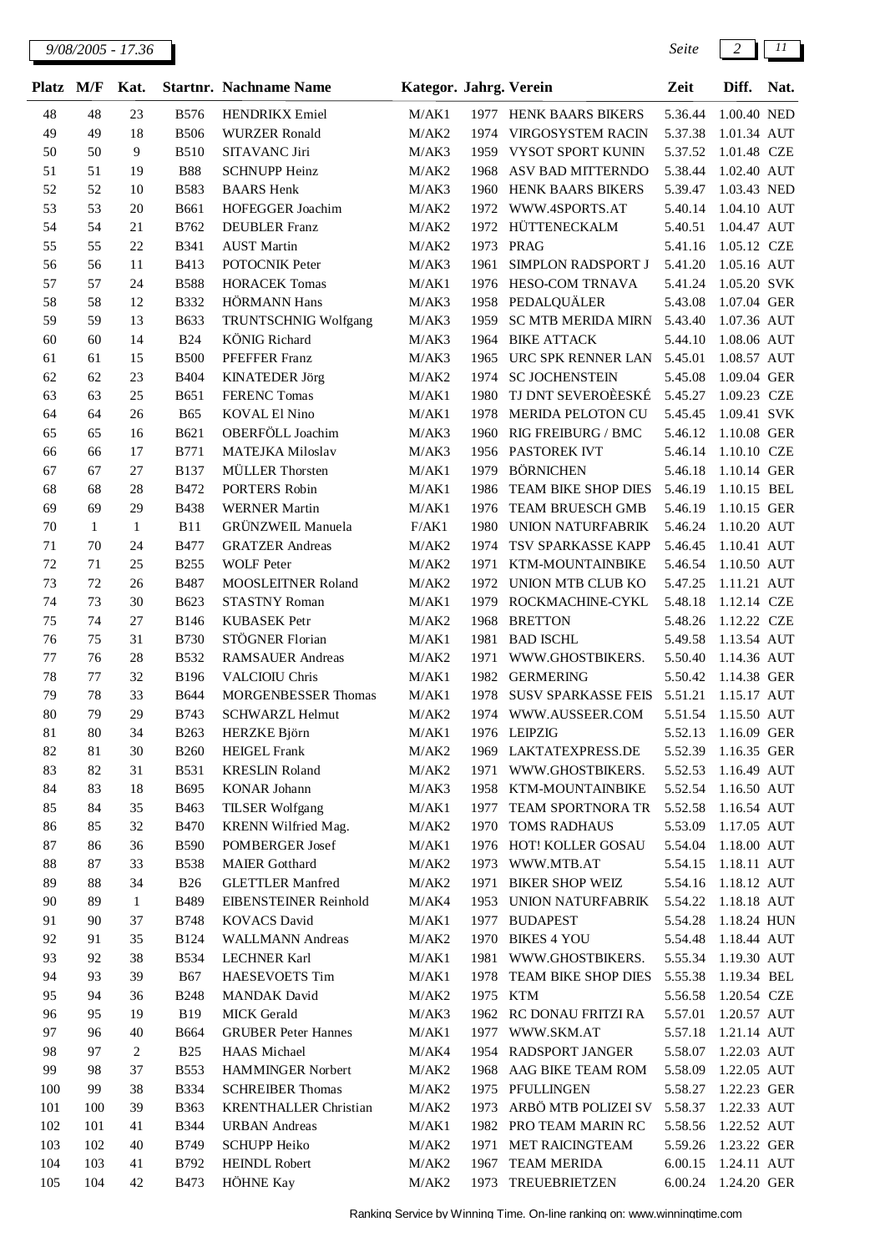| <b>Platz</b> | M/F          | Kat.           |                           | <b>Startnr. Nachname Name</b>                    | Kategor. Jahrg. Verein |              |                                      | Zeit               | Diff.                      | Nat. |
|--------------|--------------|----------------|---------------------------|--------------------------------------------------|------------------------|--------------|--------------------------------------|--------------------|----------------------------|------|
| 48           | 48           | 23             | <b>B576</b>               | <b>HENDRIKX</b> Emiel                            | M/AK1                  |              | 1977 HENK BAARS BIKERS               | 5.36.44            | 1.00.40 NED                |      |
| 49           | 49           | 18             | <b>B506</b>               | <b>WURZER Ronald</b>                             | M/AK2                  | 1974         | <b>VIRGOSYSTEM RACIN</b>             | 5.37.38            | 1.01.34 AUT                |      |
| 50           | 50           | 9              | <b>B510</b>               | SITAVANC Jiri                                    | M/AK3                  | 1959         | VYSOT SPORT KUNIN                    | 5.37.52            | 1.01.48 CZE                |      |
| 51           | 51           | 19             | <b>B88</b>                | <b>SCHNUPP Heinz</b>                             | M/AK2                  | 1968         | ASV BAD MITTERNDO                    | 5.38.44            | 1.02.40 AUT                |      |
| 52           | 52           | 10             | <b>B583</b>               | <b>BAARS</b> Henk                                | M/AK3                  | 1960         | HENK BAARS BIKERS                    | 5.39.47            | 1.03.43 NED                |      |
| 53           | 53           | 20             | <b>B661</b>               | HOFEGGER Joachim                                 | M/AK2                  | 1972         | WWW.4SPORTS.AT                       | 5.40.14            | 1.04.10 AUT                |      |
| 54           | 54           | 21             | B762                      | <b>DEUBLER</b> Franz                             | M/AK2                  | 1972         | HÜTTENECKALM                         | 5.40.51            | 1.04.47 AUT                |      |
| 55           | 55           | 22             | <b>B341</b>               | <b>AUST Martin</b>                               | M/AK2                  | 1973         | PRAG                                 | 5.41.16            | 1.05.12 CZE                |      |
| 56           | 56           | 11             | B413                      | POTOCNIK Peter                                   | M/AK3                  | 1961         | SIMPLON RADSPORT J                   | 5.41.20            | 1.05.16 AUT                |      |
| 57           | 57           | 24             | <b>B588</b>               | <b>HORACEK Tomas</b>                             | M/AK1                  | 1976         | HESO-COM TRNAVA                      | 5.41.24            | 1.05.20 SVK                |      |
| 58           | 58           | 12             | <b>B332</b>               | HÖRMANN Hans                                     | M/AK3                  | 1958         | PEDALQUÄLER                          | 5.43.08            | 1.07.04 GER                |      |
| 59           | 59           | 13             | <b>B633</b>               | TRUNTSCHNIG Wolfgang                             | M/AK3                  | 1959         | <b>SC MTB MERIDA MIRN</b>            | 5.43.40            | 1.07.36 AUT                |      |
| 60           | 60           | 14             | <b>B24</b>                | <b>KÖNIG</b> Richard                             | M/AK3                  | 1964         | <b>BIKE ATTACK</b>                   | 5.44.10            | 1.08.06 AUT                |      |
| 61           | 61           | 15             | <b>B500</b>               | PFEFFER Franz                                    | M/AK3                  | 1965         | URC SPK RENNER LAN                   | 5.45.01            | 1.08.57 AUT                |      |
| 62           | 62           | 23             | <b>B404</b>               | <b>KINATEDER Jörg</b>                            | M/AK2                  | 1974         | <b>SC JOCHENSTEIN</b>                | 5.45.08            | 1.09.04 GER                |      |
| 63           | 63           | 25             | <b>B651</b>               | <b>FERENC Tomas</b>                              | M/AK1                  | 1980         | TJ DNT SEVEROÈESKÉ                   | 5.45.27            | 1.09.23 CZE                |      |
| 64           | 64           | 26             | <b>B65</b>                | <b>KOVAL El Nino</b>                             | M/AK1                  | 1978         | MERIDA PELOTON CU                    | 5.45.45            | 1.09.41 SVK                |      |
| 65           | 65           | 16             | <b>B621</b>               | OBERFÖLL Joachim                                 | M/AK3                  | 1960         | RIG FREIBURG / BMC                   | 5.46.12            | 1.10.08 GER                |      |
| 66           | 66           | 17             | <b>B771</b>               | MATEJKA Miloslav                                 | M/AK3                  | 1956         | PASTOREK IVT                         | 5.46.14            | 1.10.10 CZE                |      |
| 67           | 67           | 27             | <b>B137</b>               | MÜLLER Thorsten                                  | M/AK1                  | 1979         | <b>BÖRNICHEN</b>                     | 5.46.18            | 1.10.14 GER                |      |
| 68           | 68           | 28             | <b>B472</b>               | PORTERS Robin                                    | M/AK1                  | 1986         | TEAM BIKE SHOP DIES                  | 5.46.19            | 1.10.15 BEL                |      |
| 69           | 69           | 29             | <b>B438</b>               | <b>WERNER Martin</b>                             | M/AK1                  | 1976         | TEAM BRUESCH GMB                     | 5.46.19            | 1.10.15 GER                |      |
| 70           | $\mathbf{1}$ | $\mathbf{1}$   | <b>B11</b>                | <b>GRÜNZWEIL Manuela</b>                         | F/AK1                  | 1980         | <b>UNION NATURFABRIK</b>             | 5.46.24            | 1.10.20 AUT                |      |
| 71           | 70           | 24             | <b>B477</b>               | <b>GRATZER</b> Andreas                           | M/AK2                  | 1974         | TSV SPARKASSE KAPP                   | 5.46.45            | 1.10.41 AUT                |      |
| 72           | 71           | 25             | <b>B255</b>               | <b>WOLF</b> Peter                                | M/AK2                  | 1971         | KTM-MOUNTAINBIKE                     | 5.46.54            | 1.10.50 AUT                |      |
| 73           | 72           | 26             | <b>B487</b>               | MOOSLEITNER Roland                               | M/AK2                  | 1972         | UNION MTB CLUB KO                    | 5.47.25            | 1.11.21 AUT                |      |
| 74           | 73           | 30             | B623                      | <b>STASTNY Roman</b>                             | M/AK1                  | 1979         | ROCKMACHINE-CYKL                     | 5.48.18            | 1.12.14 CZE                |      |
| 75           | 74           | 27             | <b>B146</b>               | KUBASEK Petr                                     | M/AK2                  | 1968         | <b>BRETTON</b>                       | 5.48.26            | 1.12.22 CZE                |      |
| 76           | 75           | 31             | <b>B730</b>               | STÖGNER Florian                                  | M/AK1                  | 1981         | <b>BAD ISCHL</b>                     | 5.49.58            | 1.13.54 AUT                |      |
| 77           | 76           | 28             | <b>B532</b>               | <b>RAMSAUER Andreas</b>                          | M/AK2                  | 1971         | WWW.GHOSTBIKERS.                     | 5.50.40            | 1.14.36 AUT                |      |
| 78           | 77           | 32             | <b>B196</b>               | <b>VALCIOIU Chris</b>                            | M/AK1                  | 1982         | <b>GERMERING</b>                     | 5.50.42            | 1.14.38 GER                |      |
| 79           | 78           | 33             | <b>B644</b>               | <b>MORGENBESSER Thomas</b>                       | M/AK1                  | 1978         | <b>SUSV SPARKASSE FEIS</b>           | 5.51.21            | 1.15.17 AUT                |      |
| 80           | 79           | 29             | <b>B743</b>               | <b>SCHWARZL Helmut</b>                           | M/AK2                  | 1974         | WWW.AUSSEER.COM                      | 5.51.54            | 1.15.50 AUT                |      |
| 81           | 80           | 34             | <b>B263</b>               | HERZKE Björn                                     | M/AK1                  |              | 1976 LEIPZIG                         | 5.52.13            | 1.16.09 GER                |      |
| 82           | 81           | 30             | <b>B260</b>               | <b>HEIGEL Frank</b>                              | M/AK2                  |              | 1969 LAKTATEXPRESS.DE                | 5.52.39            | 1.16.35 GER                |      |
| 83           | 82           | 31             | <b>B531</b>               | <b>KRESLIN Roland</b>                            | M/AK2                  | 1971         | WWW.GHOSTBIKERS.                     | 5.52.53            | 1.16.49 AUT                |      |
| 84           | 83           | 18             | B695                      | <b>KONAR Johann</b>                              | M/AK3                  | 1958         | KTM-MOUNTAINBIKE                     | 5.52.54            | 1.16.50 AUT                |      |
| 85           | 84           | 35             | B463                      | <b>TILSER Wolfgang</b>                           | M/AK1                  | 1977         | TEAM SPORTNORA TR                    | 5.52.58            | 1.16.54 AUT                |      |
| 86           | 85           | 32             | <b>B470</b>               | KRENN Wilfried Mag.                              | M/AK2                  | 1970         | <b>TOMS RADHAUS</b>                  | 5.53.09            | 1.17.05 AUT                |      |
| 87           | 86           | 36             | <b>B590</b>               | POMBERGER Josef                                  | M/AK1                  |              | 1976 HOT! KOLLER GOSAU               | 5.54.04            | 1.18.00 AUT                |      |
| 88<br>89     | 87           | 33<br>34       | <b>B538</b><br><b>B26</b> | <b>MAIER</b> Gotthard<br><b>GLETTLER Manfred</b> | M/AK2                  | 1973         | WWW.MTB.AT<br><b>BIKER SHOP WEIZ</b> | 5.54.15            | 1.18.11 AUT<br>1.18.12 AUT |      |
| 90           | 88<br>89     | $\mathbf{1}$   | B489                      | <b>EIBENSTEINER Reinhold</b>                     | M/AK2<br>M/AK4         | 1971<br>1953 | UNION NATURFABRIK                    | 5.54.16<br>5.54.22 | 1.18.18 AUT                |      |
| 91           | 90           | 37             | <b>B748</b>               | <b>KOVACS David</b>                              | M/AK1                  | 1977         | <b>BUDAPEST</b>                      | 5.54.28            | 1.18.24 HUN                |      |
| 92           | 91           | 35             | <b>B124</b>               | <b>WALLMANN</b> Andreas                          | M/AK2                  | 1970         | <b>BIKES 4 YOU</b>                   | 5.54.48            | 1.18.44 AUT                |      |
| 93           | 92           | 38             | <b>B534</b>               | <b>LECHNER Karl</b>                              | M/AK1                  | 1981         | WWW.GHOSTBIKERS.                     | 5.55.34            | 1.19.30 AUT                |      |
| 94           | 93           | 39             | <b>B67</b>                | <b>HAESEVOETS</b> Tim                            | M/AK1                  | 1978         | TEAM BIKE SHOP DIES                  | 5.55.38            | 1.19.34 BEL                |      |
| 95           | 94           | 36             | <b>B248</b>               | <b>MANDAK</b> David                              | M/AK2                  | 1975 KTM     |                                      | 5.56.58            | 1.20.54 CZE                |      |
| 96           | 95           | 19             | <b>B19</b>                | <b>MICK</b> Gerald                               | M/AK3                  |              | 1962 RC DONAU FRITZI RA              | 5.57.01            | 1.20.57 AUT                |      |
| 97           | 96           | 40             | <b>B664</b>               | <b>GRUBER Peter Hannes</b>                       | M/AK1                  |              | 1977 WWW.SKM.AT                      | 5.57.18            | 1.21.14 AUT                |      |
| 98           | 97           | $\overline{c}$ | <b>B25</b>                | <b>HAAS</b> Michael                              | M/AK4                  | 1954         | RADSPORT JANGER                      | 5.58.07            | 1.22.03 AUT                |      |
| 99           | 98           | 37             | <b>B553</b>               | HAMMINGER Norbert                                | M/AK2                  | 1968         | AAG BIKE TEAM ROM                    | 5.58.09            | 1.22.05 AUT                |      |
| 100          | 99           | 38             | <b>B334</b>               | <b>SCHREIBER Thomas</b>                          | M/AK2                  | 1975         | PFULLINGEN                           | 5.58.27            | 1.22.23 GER                |      |
| 101          | 100          | 39             | <b>B363</b>               | <b>KRENTHALLER Christian</b>                     | M/AK2                  | 1973         | ARBÖ MTB POLIZEI SV                  | 5.58.37            | 1.22.33 AUT                |      |
| 102          | 101          | 41             | <b>B344</b>               | <b>URBAN</b> Andreas                             | M/AK1                  | 1982         | PRO TEAM MARIN RC                    | 5.58.56            | 1.22.52 AUT                |      |
| 103          | 102          | 40             | B749                      | <b>SCHUPP Heiko</b>                              | M/AK2                  | 1971         | MET RAICINGTEAM                      | 5.59.26            | 1.23.22 GER                |      |
| 104          | 103          | 41             | B792                      | <b>HEINDL Robert</b>                             | M/AK2                  | 1967         | <b>TEAM MERIDA</b>                   | 6.00.15            | 1.24.11 AUT                |      |
| 105          | 104          | 42             | <b>B473</b>               | HÖHNE Kay                                        | M/AK2                  | 1973         | TREUEBRIETZEN                        | 6.00.24            | 1.24.20 GER                |      |
|              |              |                |                           |                                                  |                        |              |                                      |                    |                            |      |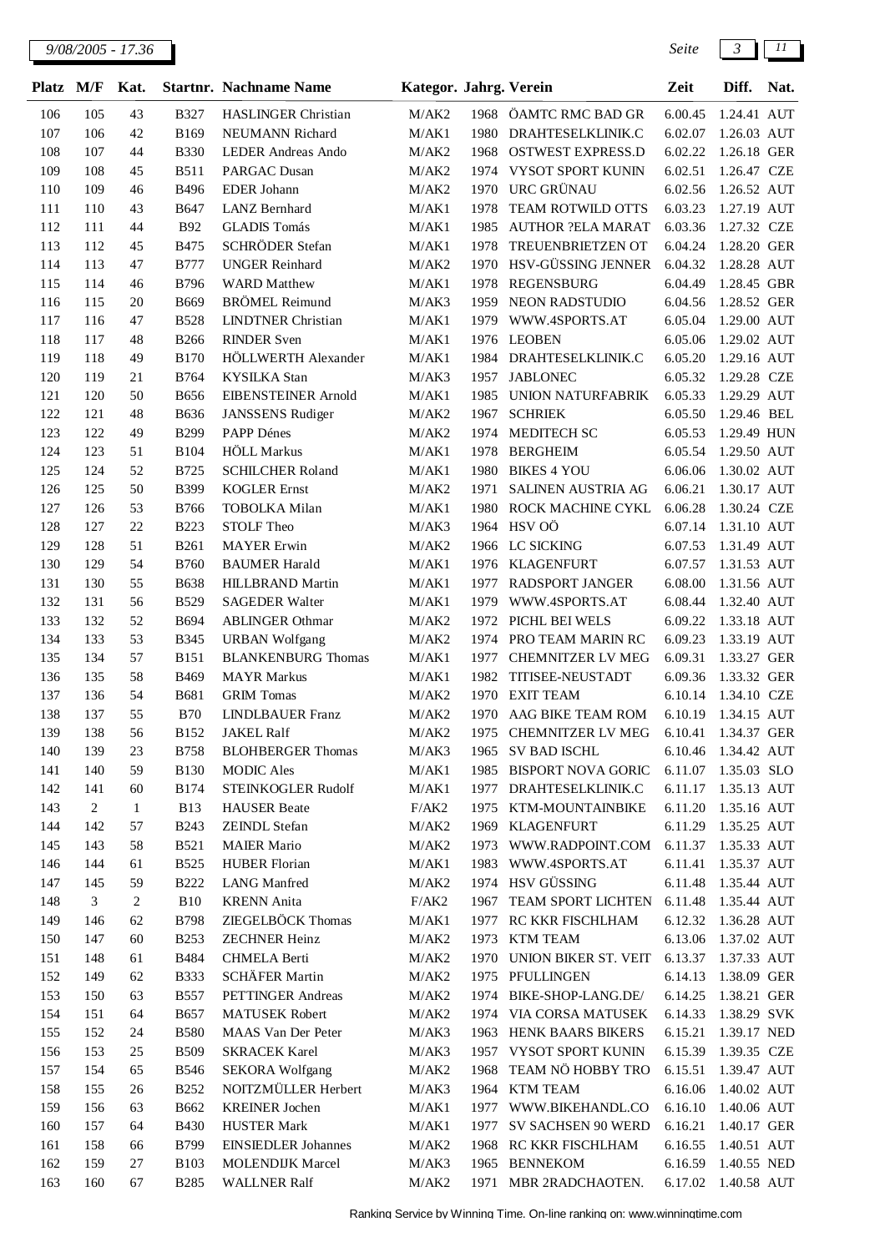| <b>Platz</b> | M/F            | Kat.             |                            | <b>Startnr. Nachname Name</b>                 | Kategor. Jahrg. Verein |      |                                             | Zeit                           | Diff.                      | Nat. |
|--------------|----------------|------------------|----------------------------|-----------------------------------------------|------------------------|------|---------------------------------------------|--------------------------------|----------------------------|------|
| 106          | 105            | 43               | <b>B327</b>                | <b>HASLINGER Christian</b>                    | M/AK2                  | 1968 | ÖAMTC RMC BAD GR                            | 6.00.45                        | 1.24.41 AUT                |      |
| 107          | 106            | 42               | <b>B169</b>                | NEUMANN Richard                               | M/AK1                  |      | 1980 DRAHTESELKLINIK.C                      | 6.02.07                        | 1.26.03 AUT                |      |
| 108          | 107            | 44               | <b>B330</b>                | <b>LEDER Andreas Ando</b>                     | M/AK2                  | 1968 | OSTWEST EXPRESS.D                           | 6.02.22                        | 1.26.18 GER                |      |
| 109          | 108            | 45               | <b>B511</b>                | <b>PARGAC Dusan</b>                           | M/AK2                  | 1974 | VYSOT SPORT KUNIN                           | 6.02.51                        | 1.26.47 CZE                |      |
| 110          | 109            | 46               | <b>B496</b>                | <b>EDER</b> Johann                            | M/AK2                  | 1970 | URC GRÜNAU                                  | 6.02.56                        | 1.26.52 AUT                |      |
| 111          | 110            | 43               | <b>B647</b>                | LANZ Bernhard                                 | M/AK1                  | 1978 | <b>TEAM ROTWILD OTTS</b>                    | 6.03.23                        | 1.27.19 AUT                |      |
| 112          | 111            | 44               | <b>B92</b>                 | <b>GLADIS Tomás</b>                           | M/AK1                  | 1985 | <b>AUTHOR ?ELA MARAT</b>                    | 6.03.36                        | 1.27.32 CZE                |      |
| 113          | 112            | 45               | <b>B475</b>                | SCHRÖDER Stefan                               | M/AK1                  | 1978 | TREUENBRIETZEN OT                           | 6.04.24                        | 1.28.20 GER                |      |
| 114          | 113            | 47               | <b>B777</b>                | <b>UNGER Reinhard</b>                         | M/AK2                  | 1970 | HSV-GÜSSING JENNER                          | 6.04.32                        | 1.28.28 AUT                |      |
| 115          | 114            | 46               | <b>B796</b>                | <b>WARD</b> Matthew                           | M/AK1                  | 1978 | REGENSBURG                                  | 6.04.49                        | 1.28.45 GBR                |      |
| 116          | 115            | 20               | <b>B669</b>                | <b>BRÖMEL Reimund</b>                         | M/AK3                  | 1959 | NEON RADSTUDIO                              | 6.04.56                        | 1.28.52 GER                |      |
| 117          | 116            | 47               | <b>B528</b>                | <b>LINDTNER</b> Christian                     | M/AK1                  | 1979 | WWW.4SPORTS.AT                              | 6.05.04                        | 1.29.00 AUT                |      |
| 118          | 117            | 48               | <b>B266</b>                | <b>RINDER Sven</b>                            | M/AK1                  |      | 1976 LEOBEN                                 | 6.05.06                        | 1.29.02 AUT                |      |
| 119          | 118            | 49               | <b>B170</b>                | HÖLLWERTH Alexander                           | M/AK1                  |      | 1984 DRAHTESELKLINIK.C                      | 6.05.20                        | 1.29.16 AUT                |      |
| 120          | 119            | 21               | B764                       | <b>KYSILKA</b> Stan                           | M/AK3                  | 1957 | <b>JABLONEC</b>                             | 6.05.32                        | 1.29.28 CZE                |      |
| 121          | 120            | 50               | <b>B656</b>                | EIBENSTEINER Arnold                           | M/AK1                  | 1985 | UNION NATURFABRIK                           | 6.05.33                        | 1.29.29 AUT                |      |
| 122          | 121            | 48               | <b>B636</b>                | <b>JANSSENS Rudiger</b>                       | M/AK2                  | 1967 | <b>SCHRIEK</b>                              | 6.05.50                        | 1.29.46 BEL                |      |
| 123          | 122            | 49               | <b>B299</b>                | PAPP Dénes                                    | M/AK2                  | 1974 | MEDITECH SC                                 | 6.05.53                        | 1.29.49 HUN                |      |
| 124          | 123            | 51               | <b>B104</b>                | <b>HÖLL</b> Markus                            | M/AK1                  | 1978 | <b>BERGHEIM</b>                             | 6.05.54                        | 1.29.50 AUT                |      |
| 125          | 124            | 52               | B725                       | <b>SCHILCHER Roland</b>                       | M/AK1                  | 1980 | <b>BIKES 4 YOU</b>                          | 6.06.06                        | 1.30.02 AUT                |      |
| 126          | 125            | 50               | <b>B399</b>                | <b>KOGLER</b> Ernst                           | M/AK2                  | 1971 | SALINEN AUSTRIA AG                          | 6.06.21                        | 1.30.17 AUT                |      |
| 127          | 126            | 53               | <b>B766</b>                | <b>TOBOLKA Milan</b>                          | M/AK1                  | 1980 | ROCK MACHINE CYKL                           | 6.06.28                        | 1.30.24 CZE                |      |
| 128          | 127            | 22               | <b>B223</b>                | STOLF Theo                                    | M/AK3                  |      | 1964 HSV OÖ                                 | 6.07.14                        | 1.31.10 AUT                |      |
| 129          | 128            | 51               | <b>B261</b>                | <b>MAYER</b> Erwin                            | M/AK2                  | 1966 | LC SICKING                                  | 6.07.53                        | 1.31.49 AUT                |      |
| 130          | 129            | 54               | <b>B760</b>                | <b>BAUMER Harald</b>                          | M/AK1                  | 1976 | <b>KLAGENFURT</b>                           | 6.07.57                        | 1.31.53 AUT                |      |
| 131          | 130            | 55               | <b>B638</b>                | <b>HILLBRAND Martin</b>                       | M/AK1                  | 1977 | RADSPORT JANGER                             | 6.08.00                        | 1.31.56 AUT                |      |
| 132          | 131            | 56               | <b>B529</b>                | <b>SAGEDER Walter</b>                         | M/AK1                  | 1979 | WWW.4SPORTS.AT                              | 6.08.44                        | 1.32.40 AUT                |      |
| 133          | 132            | 52               | <b>B694</b>                | <b>ABLINGER Othmar</b>                        | M/AK2                  | 1972 | PICHL BEI WELS                              | 6.09.22                        | 1.33.18 AUT                |      |
| 134          | 133            | 53               | <b>B345</b>                | <b>URBAN Wolfgang</b>                         | M/AK2                  | 1974 | PRO TEAM MARIN RC                           | 6.09.23                        | 1.33.19 AUT                |      |
| 135          | 134            | 57               | <b>B151</b>                | <b>BLANKENBURG Thomas</b>                     | M/AK1                  | 1977 | CHEMNITZER LV MEG                           | 6.09.31                        | 1.33.27 GER                |      |
| 136          | 135            | 58               | B469                       | <b>MAYR</b> Markus                            | M/AK1                  | 1982 | TITISEE-NEUSTADT                            | 6.09.36                        | 1.33.32 GER                |      |
| 137          | 136            | 54               | <b>B681</b>                | <b>GRIM</b> Tomas                             | M/AK2                  |      | 1970 EXIT TEAM                              | 6.10.14                        | 1.34.10 CZE<br>1.34.15 AUT |      |
| 138          | 137            | 55               | <b>B70</b>                 | <b>LINDLBAUER Franz</b>                       | M/AK2                  | 1970 | AAG BIKE TEAM ROM                           | 6.10.19                        |                            |      |
| 139<br>140   | 138<br>139     | 56<br>23         | <b>B152</b><br><b>B758</b> | <b>JAKEL Ralf</b><br><b>BLOHBERGER Thomas</b> | M/AK2                  |      | 1975 CHEMNITZER LV MEG<br>1965 SV BAD ISCHL | 6.10.41<br>6.10.46 1.34.42 AUT | 1.34.37 GER                |      |
| 141          | 140            | 59               | <b>B130</b>                | <b>MODIC</b> Ales                             | M/AK3<br>$\rm M/AK1$   |      | 1985 BISPORT NOVA GORIC                     | 6.11.07                        | 1.35.03 SLO                |      |
| 142          | 141            | 60               | <b>B174</b>                | STEINKOGLER Rudolf                            | M/AK1                  | 1977 | DRAHTESELKLINIK.C                           | 6.11.17                        | 1.35.13 AUT                |      |
| 143          | $\sqrt{2}$     | 1                | <b>B13</b>                 | <b>HAUSER</b> Beate                           | F/AK2                  | 1975 | KTM-MOUNTAINBIKE                            | 6.11.20                        | 1.35.16 AUT                |      |
| 144          | 142            | 57               | <b>B243</b>                | ZEINDL Stefan                                 | M/AK2                  | 1969 | <b>KLAGENFURT</b>                           | 6.11.29                        | 1.35.25 AUT                |      |
| 145          | 143            | 58               | <b>B521</b>                | <b>MAIER Mario</b>                            | M/AK2                  | 1973 | WWW.RADPOINT.COM                            | 6.11.37                        | 1.35.33 AUT                |      |
| 146          | 144            | 61               | <b>B525</b>                | <b>HUBER Florian</b>                          | M/AK1                  | 1983 | WWW.4SPORTS.AT                              | 6.11.41                        | 1.35.37 AUT                |      |
| 147          | 145            | 59               | <b>B222</b>                | <b>LANG</b> Manfred                           | M/AK2                  |      | 1974 HSV GÜSSING                            | 6.11.48                        | 1.35.44 AUT                |      |
| 148          | $\mathfrak{Z}$ | $\boldsymbol{2}$ | B10                        | <b>KRENN</b> Anita                            | F/AK2                  | 1967 | TEAM SPORT LICHTEN                          | 6.11.48                        | 1.35.44 AUT                |      |
| 149          | 146            | 62               | <b>B798</b>                | ZIEGELBÖCK Thomas                             | M/AK1                  | 1977 | RC KKR FISCHLHAM                            | 6.12.32                        | 1.36.28 AUT                |      |
| 150          | 147            | 60               | <b>B253</b>                | <b>ZECHNER Heinz</b>                          | M/AK2                  | 1973 | <b>KTM TEAM</b>                             | 6.13.06                        | 1.37.02 AUT                |      |
| 151          | 148            | 61               | <b>B484</b>                | <b>CHMELA Berti</b>                           | M/AK2                  | 1970 | UNION BIKER ST. VEIT                        | 6.13.37                        | 1.37.33 AUT                |      |
| 152          | 149            | 62               | <b>B333</b>                | SCHÄFER Martin                                | M/AK2                  |      | 1975 PFULLINGEN                             | 6.14.13                        | 1.38.09 GER                |      |
| 153          | 150            | 63               | <b>B557</b>                | PETTINGER Andreas                             | M/AK2                  | 1974 | BIKE-SHOP-LANG.DE/                          | 6.14.25                        | 1.38.21 GER                |      |
| 154          | 151            | 64               | <b>B657</b>                | <b>MATUSEK Robert</b>                         | M/AK2                  |      | 1974 VIA CORSA MATUSEK                      | 6.14.33                        | 1.38.29 SVK                |      |
| 155          | 152            | 24               | <b>B580</b>                | MAAS Van Der Peter                            | M/AK3                  |      | 1963 HENK BAARS BIKERS                      | 6.15.21                        | 1.39.17 NED                |      |
| 156          | 153            | 25               | <b>B509</b>                | <b>SKRACEK Karel</b>                          | M/AK3                  |      | 1957 VYSOT SPORT KUNIN                      | 6.15.39                        | 1.39.35 CZE                |      |
| 157          | 154            | 65               | <b>B546</b>                | <b>SEKORA Wolfgang</b>                        | M/AK2                  | 1968 | TEAM NÖ HOBBY TRO                           | 6.15.51                        | 1.39.47 AUT                |      |
| 158          | 155            | 26               | <b>B252</b>                | NOITZMÜLLER Herbert                           | M/AK3                  | 1964 | <b>KTM TEAM</b>                             | 6.16.06                        | 1.40.02 AUT                |      |
| 159          | 156            | 63               | B662                       | <b>KREINER Jochen</b>                         | M/AK1                  | 1977 | WWW.BIKEHANDL.CO                            | 6.16.10                        | 1.40.06 AUT                |      |
| 160          | 157            | 64               | <b>B430</b>                | <b>HUSTER Mark</b>                            | M/AK1                  | 1977 | SV SACHSEN 90 WERD                          | 6.16.21                        | 1.40.17 GER                |      |
| 161          | 158            | 66               | B799                       | <b>EINSIEDLER Johannes</b>                    | M/AK2                  | 1968 | RC KKR FISCHLHAM                            | 6.16.55                        | 1.40.51 AUT                |      |
| 162          | 159            | 27               | <b>B103</b>                | <b>MOLENDIJK Marcel</b>                       | M/AK3                  | 1965 | <b>BENNEKOM</b>                             | 6.16.59                        | 1.40.55 NED                |      |
| 163          | 160            | 67               | <b>B285</b>                | <b>WALLNER Ralf</b>                           | M/AK2                  | 1971 | MBR 2RADCHAOTEN.                            | 6.17.02 1.40.58 AUT            |                            |      |
|              |                |                  |                            |                                               |                        |      |                                             |                                |                            |      |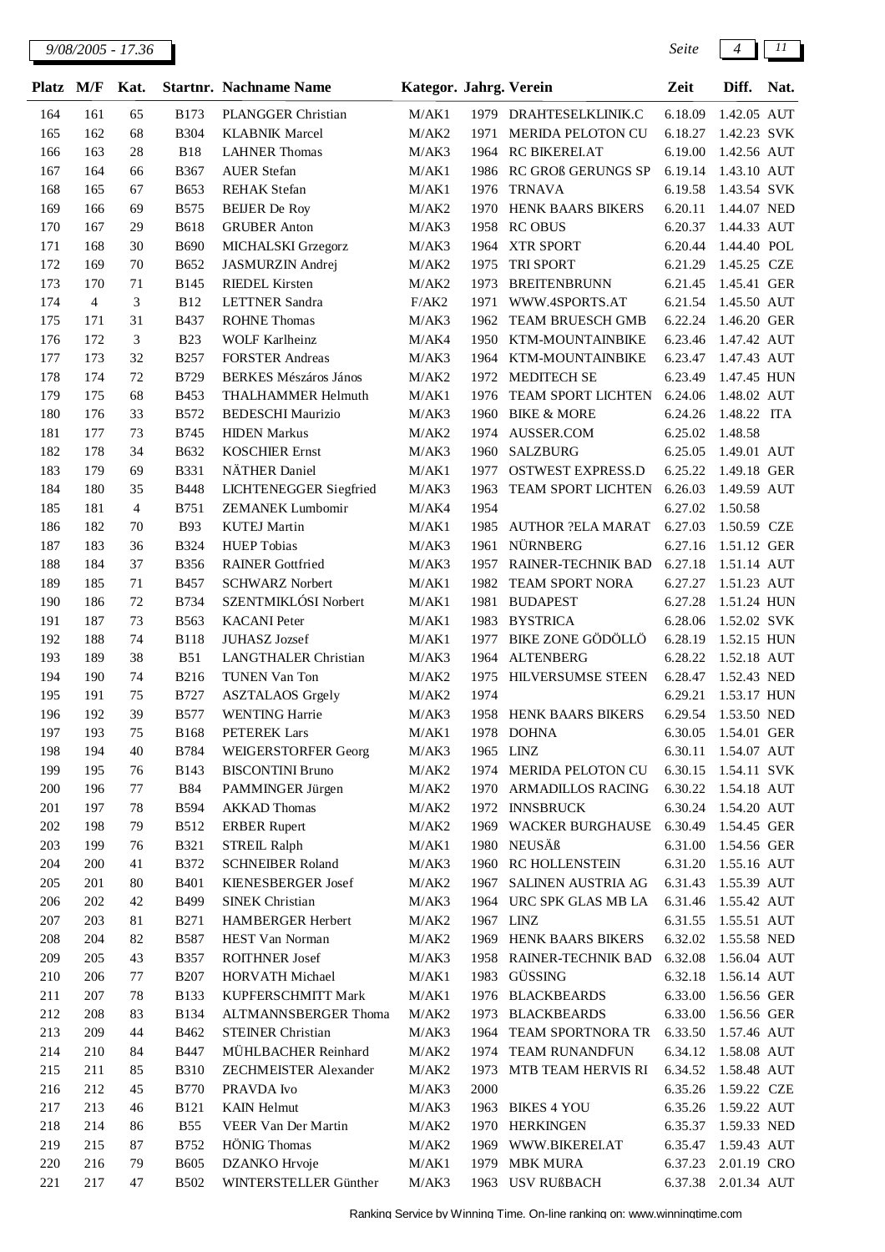| Platz M/F |                | Kat.           |             | <b>Startnr. Nachname Name</b> | Kategor. Jahrg. Verein |           |                           | Zeit                | Diff.       | Nat. |
|-----------|----------------|----------------|-------------|-------------------------------|------------------------|-----------|---------------------------|---------------------|-------------|------|
| 164       | 161            | 65             | <b>B173</b> | PLANGGER Christian            | M/AK1                  |           | 1979 DRAHTESELKLINIK.C    | 6.18.09             | 1.42.05 AUT |      |
| 165       | 162            | 68             | <b>B304</b> | <b>KLABNIK Marcel</b>         | M/AK2                  | 1971      | MERIDA PELOTON CU         | 6.18.27             | 1.42.23 SVK |      |
| 166       | 163            | 28             | <b>B18</b>  | <b>LAHNER Thomas</b>          | M/AK3                  | 1964      | RC BIKERELAT              | 6.19.00             | 1.42.56 AUT |      |
| 167       | 164            | 66             | <b>B367</b> | <b>AUER Stefan</b>            | M/AK1                  | 1986      | <b>RC GROß GERUNGS SP</b> | 6.19.14             | 1.43.10 AUT |      |
| 168       | 165            | 67             | <b>B653</b> | <b>REHAK</b> Stefan           | M/AK1                  | 1976      | <b>TRNAVA</b>             | 6.19.58             | 1.43.54 SVK |      |
| 169       | 166            | 69             | <b>B575</b> | <b>BEIJER</b> De Roy          | M/AK2                  | 1970      | HENK BAARS BIKERS         | 6.20.11             | 1.44.07 NED |      |
| 170       | 167            | 29             | <b>B618</b> | <b>GRUBER Anton</b>           | M/AK3                  | 1958      | <b>RC OBUS</b>            | 6.20.37             | 1.44.33 AUT |      |
| 171       | 168            | 30             | <b>B690</b> | MICHALSKI Grzegorz            | M/AK3                  | 1964      | <b>XTR SPORT</b>          | 6.20.44             | 1.44.40 POL |      |
| 172       | 169            | 70             | <b>B652</b> | JASMURZIN Andrej              | M/AK2                  | 1975      | TRI SPORT                 | 6.21.29             | 1.45.25 CZE |      |
| 173       | 170            | 71             | <b>B145</b> | <b>RIEDEL Kirsten</b>         | M/AK2                  | 1973      | <b>BREITENBRUNN</b>       | 6.21.45             | 1.45.41 GER |      |
| 174       | $\overline{4}$ | 3              | <b>B12</b>  | <b>LETTNER Sandra</b>         | F/AK2                  | 1971      | WWW.4SPORTS.AT            | 6.21.54             | 1.45.50 AUT |      |
| 175       | 171            | 31             | <b>B437</b> | <b>ROHNE Thomas</b>           | M/AK3                  | 1962      | TEAM BRUESCH GMB          | 6.22.24             | 1.46.20 GER |      |
| 176       | 172            | 3              | <b>B23</b>  | <b>WOLF Karlheinz</b>         | M/AK4                  | 1950      | KTM-MOUNTAINBIKE          | 6.23.46             | 1.47.42 AUT |      |
| 177       | 173            | 32             | <b>B257</b> | <b>FORSTER Andreas</b>        | M/AK3                  | 1964      | KTM-MOUNTAINBIKE          | 6.23.47             | 1.47.43 AUT |      |
| 178       | 174            | 72             | <b>B729</b> | <b>BERKES Mészáros János</b>  | M/AK2                  | 1972      | MEDITECH SE               | 6.23.49             | 1.47.45 HUN |      |
| 179       | 175            | 68             | <b>B453</b> | <b>THALHAMMER Helmuth</b>     | M/AK1                  | 1976      | TEAM SPORT LICHTEN        | 6.24.06             | 1.48.02 AUT |      |
| 180       | 176            | 33             | <b>B572</b> | <b>BEDESCHI Maurizio</b>      | M/AK3                  | 1960      | <b>BIKE &amp; MORE</b>    | 6.24.26             | 1.48.22 ITA |      |
| 181       | 177            | 73             | <b>B745</b> | <b>HIDEN Markus</b>           | M/AK2                  | 1974      | AUSSER.COM                | 6.25.02             | 1.48.58     |      |
| 182       | 178            | 34             | <b>B632</b> | <b>KOSCHIER Ernst</b>         | M/AK3                  | 1960      | <b>SALZBURG</b>           | 6.25.05             | 1.49.01 AUT |      |
| 183       | 179            | 69             | <b>B331</b> | NÄTHER Daniel                 | M/AK1                  | 1977      | <b>OSTWEST EXPRESS.D</b>  | 6.25.22             | 1.49.18 GER |      |
| 184       | 180            | 35             | <b>B448</b> | <b>LICHTENEGGER Siegfried</b> | M/AK3                  | 1963      | TEAM SPORT LICHTEN        | 6.26.03             | 1.49.59 AUT |      |
| 185       | 181            | $\overline{4}$ | B751        | <b>ZEMANEK Lumbomir</b>       | M/AK4                  | 1954      |                           | 6.27.02             | 1.50.58     |      |
| 186       | 182            | 70             | <b>B93</b>  | <b>KUTEJ Martin</b>           | M/AK1                  | 1985      | <b>AUTHOR ?ELA MARAT</b>  | 6.27.03             | 1.50.59 CZE |      |
| 187       | 183            | 36             | <b>B324</b> | <b>HUEP</b> Tobias            | M/AK3                  | 1961      | NÜRNBERG                  | 6.27.16             | 1.51.12 GER |      |
| 188       | 184            | 37             | <b>B356</b> | <b>RAINER Gottfried</b>       | M/AK3                  | 1957      | RAINER-TECHNIK BAD        | 6.27.18             | 1.51.14 AUT |      |
| 189       | 185            | 71             | <b>B457</b> | <b>SCHWARZ</b> Norbert        | M/AK1                  | 1982      | TEAM SPORT NORA           | 6.27.27             | 1.51.23 AUT |      |
| 190       | 186            | 72             | <b>B734</b> | SZENTMIKLÓSI Norbert          | M/AK1                  | 1981      | <b>BUDAPEST</b>           | 6.27.28             | 1.51.24 HUN |      |
| 191       | 187            | 73             | B563        | <b>KACANI</b> Peter           | M/AK1                  | 1983      | <b>BYSTRICA</b>           | 6.28.06             | 1.52.02 SVK |      |
| 192       | 188            | 74             | <b>B118</b> | JUHASZ Jozsef                 | M/AK1                  | 1977      | BIKE ZONE GÖDÖLLÖ         | 6.28.19             | 1.52.15 HUN |      |
| 193       | 189            | 38             | <b>B51</b>  | LANGTHALER Christian          | M/AK3                  | 1964      | <b>ALTENBERG</b>          | 6.28.22             | 1.52.18 AUT |      |
| 194       | 190            | 74             | <b>B216</b> | <b>TUNEN Van Ton</b>          | M/AK2                  | 1975      | <b>HILVERSUMSE STEEN</b>  | 6.28.47             | 1.52.43 NED |      |
| 195       | 191            | 75             | <b>B727</b> | <b>ASZTALAOS</b> Grgely       | M/AK2                  | 1974      |                           | 6.29.21             | 1.53.17 HUN |      |
| 196       | 192            | 39             | <b>B577</b> | <b>WENTING Harrie</b>         | M/AK3                  | 1958      | HENK BAARS BIKERS         | 6.29.54             | 1.53.50 NED |      |
| 197       | 193            | 75             | <b>B168</b> | PETEREK Lars                  | M/AK1                  | 1978      | <b>DOHNA</b>              | 6.30.05             | 1.54.01 GER |      |
| 198       | 194            | 40             | <b>B784</b> | <b>WEIGERSTORFER Georg</b>    | M/AK3                  | 1965 LINZ |                           | 6.30.11 1.54.07 AUT |             |      |
| 199       | 195            | 76             | <b>B143</b> | <b>BISCONTINI Bruno</b>       | M/AK2                  |           | 1974 MERIDA PELOTON CU    | 6.30.15             | 1.54.11 SVK |      |
| 200       | 196            | 77             | <b>B84</b>  | PAMMINGER Jürgen              | M/AK2                  | 1970      | <b>ARMADILLOS RACING</b>  | 6.30.22             | 1.54.18 AUT |      |
| 201       | 197            | 78             | <b>B594</b> | <b>AKKAD Thomas</b>           | M/AK2                  | 1972      | <b>INNSBRUCK</b>          | 6.30.24             | 1.54.20 AUT |      |
| 202       | 198            | 79             | <b>B512</b> | <b>ERBER Rupert</b>           | M/AK2                  |           | 1969 WACKER BURGHAUSE     | 6.30.49             | 1.54.45 GER |      |
| 203       | 199            | 76             | <b>B321</b> | <b>STREIL Ralph</b>           | M/AK1                  |           | 1980 NEUSÄß               | 6.31.00             | 1.54.56 GER |      |
| 204       | 200            | 41             | <b>B372</b> | <b>SCHNEIBER Roland</b>       | M/AK3                  |           | 1960 RC HOLLENSTEIN       | 6.31.20             | 1.55.16 AUT |      |
| 205       | 201            | 80             | <b>B401</b> | KIENESBERGER Josef            | M/AK2                  | 1967      | SALINEN AUSTRIA AG        | 6.31.43             | 1.55.39 AUT |      |
| 206       | 202            | 42             | B499        | <b>SINEK Christian</b>        | M/AK3                  | 1964      | URC SPK GLAS MB LA        | 6.31.46             | 1.55.42 AUT |      |
| 207       | 203            | 81             | <b>B271</b> | HAMBERGER Herbert             | M/AK2                  | 1967 LINZ |                           | 6.31.55             | 1.55.51 AUT |      |
| 208       | 204            | 82             | <b>B587</b> | HEST Van Norman               | $\rm M/AK2$            |           | 1969 HENK BAARS BIKERS    | 6.32.02             | 1.55.58 NED |      |
| 209       | 205            | 43             | <b>B357</b> | <b>ROITHNER Josef</b>         | M/AK3                  |           | 1958 RAINER-TECHNIK BAD   | 6.32.08             | 1.56.04 AUT |      |
| 210       | 206            | 77             | <b>B207</b> | HORVATH Michael               | M/AK1                  | 1983      | GÜSSING                   | 6.32.18             | 1.56.14 AUT |      |
| 211       | 207            | 78             | <b>B133</b> | KUPFERSCHMITT Mark            | M/AK1                  | 1976      | <b>BLACKBEARDS</b>        | 6.33.00             | 1.56.56 GER |      |
| 212       | 208            | 83             | <b>B134</b> | ALTMANNSBERGER Thoma          | M/AK2                  | 1973      | <b>BLACKBEARDS</b>        | 6.33.00             | 1.56.56 GER |      |
| 213       | 209            | 44             | B462        | <b>STEINER Christian</b>      | M/AK3                  | 1964      | TEAM SPORTNORA TR         | 6.33.50             | 1.57.46 AUT |      |
| 214       | 210            | 84             | <b>B447</b> | MÜHLBACHER Reinhard           | M/AK2                  | 1974      | TEAM RUNANDFUN            | 6.34.12             | 1.58.08 AUT |      |
| 215       | 211            | 85             | <b>B310</b> | ZECHMEISTER Alexander         | M/AK2                  | 1973      | MTB TEAM HERVIS RI        | 6.34.52             | 1.58.48 AUT |      |
| 216       | 212            | 45             | <b>B770</b> | PRAVDA Ivo                    | M/AK3                  | 2000      |                           | 6.35.26             | 1.59.22 CZE |      |
| 217       | 213            | 46             | <b>B121</b> | <b>KAIN Helmut</b>            | M/AK3                  | 1963      | <b>BIKES 4 YOU</b>        | 6.35.26             | 1.59.22 AUT |      |
| 218       | 214            | 86             | <b>B55</b>  | VEER Van Der Martin           | M/AK2                  |           | 1970 HERKINGEN            | 6.35.37             | 1.59.33 NED |      |
| 219       | 215            | 87             | B752        | <b>HÖNIG</b> Thomas           | M/AK2                  |           | 1969 WWW.BIKEREI.AT       | 6.35.47             | 1.59.43 AUT |      |
| 220       | 216            | 79             | <b>B605</b> | DZANKO Hrvoje                 | M/AK1                  | 1979      | <b>MBK MURA</b>           | 6.37.23             | 2.01.19 CRO |      |
| 221       | 217            | 47             | <b>B502</b> | WINTERSTELLER Günther         | M/AK3                  |           | 1963 USV RUßBACH          | 6.37.38             | 2.01.34 AUT |      |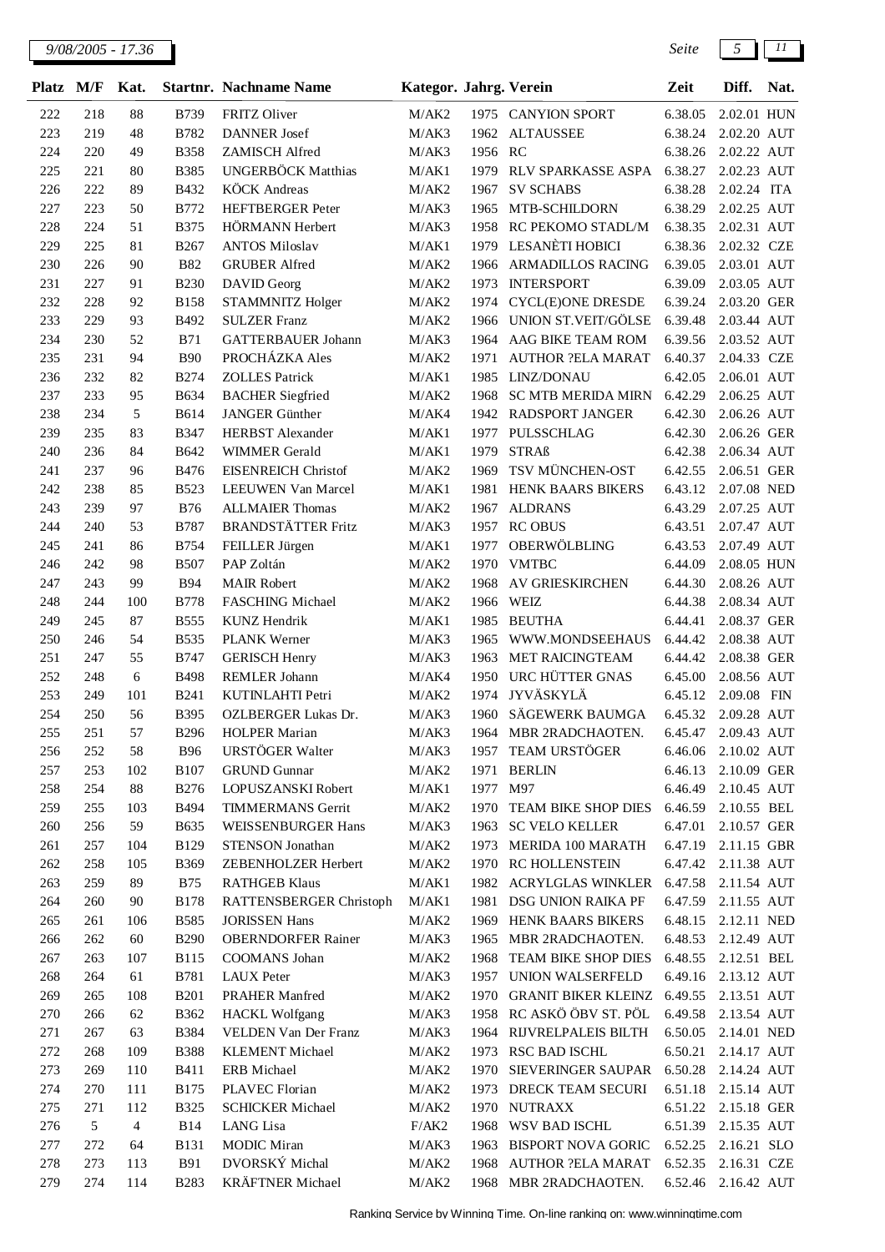| <b>Platz</b> | M/F        | Kat.     |                            | <b>Startnr.</b> Nachname Name                 | Kategor. Jahrg. Verein |              |                                                              | Zeit               | Diff.                      | Nat. |
|--------------|------------|----------|----------------------------|-----------------------------------------------|------------------------|--------------|--------------------------------------------------------------|--------------------|----------------------------|------|
| 222          | 218        | 88       | <b>B739</b>                | FRITZ Oliver                                  | M/AK2                  |              | 1975 CANYION SPORT                                           | 6.38.05            | 2.02.01 HUN                |      |
| 223          | 219        | 48       | B782                       | <b>DANNER</b> Josef                           | M/AK3                  | 1962         | <b>ALTAUSSEE</b>                                             | 6.38.24            | 2.02.20 AUT                |      |
| 224          | 220        | 49       | <b>B358</b>                | ZAMISCH Alfred                                | M/AK3                  | 1956 RC      |                                                              | 6.38.26            | 2.02.22 AUT                |      |
| 225          | 221        | 80       | <b>B385</b>                | <b>UNGERBÖCK Matthias</b>                     | M/AK1                  | 1979         | <b>RLV SPARKASSE ASPA</b>                                    | 6.38.27            | 2.02.23 AUT                |      |
| 226          | 222        | 89       | B432                       | <b>KÖCK</b> Andreas                           | M/AK2                  | 1967         | <b>SV SCHABS</b>                                             | 6.38.28            | 2.02.24 ITA                |      |
| 227          | 223        | 50       | B772                       | <b>HEFTBERGER Peter</b>                       | M/AK3                  | 1965         | MTB-SCHILDORN                                                | 6.38.29            | 2.02.25 AUT                |      |
| 228          | 224        | 51       | <b>B375</b>                | HÖRMANN Herbert                               | M/AK3                  | 1958         | RC PEKOMO STADL/M                                            | 6.38.35            | 2.02.31 AUT                |      |
| 229          | 225        | 81       | <b>B267</b>                | <b>ANTOS Miloslav</b>                         | M/AK1                  | 1979         | <b>LESANÈTI HOBICI</b>                                       | 6.38.36            | 2.02.32 CZE                |      |
| 230          | 226        | 90       | <b>B82</b>                 | <b>GRUBER</b> Alfred                          | M/AK2                  | 1966         | <b>ARMADILLOS RACING</b>                                     | 6.39.05            | 2.03.01 AUT                |      |
| 231          | 227        | 91       | <b>B230</b>                | DAVID Georg                                   | M/AK2                  | 1973         | <b>INTERSPORT</b>                                            | 6.39.09            | 2.03.05 AUT                |      |
| 232<br>233   | 228<br>229 | 92<br>93 | <b>B158</b><br>B492        | STAMMNITZ Holger<br><b>SULZER Franz</b>       | M/AK2<br>M/AK2         | 1974         | <b>CYCL(E)ONE DRESDE</b><br>UNION ST.VEIT/GÖLSE              | 6.39.24<br>6.39.48 | 2.03.20 GER                |      |
| 234          | 230        | 52       | <b>B71</b>                 | <b>GATTERBAUER Johann</b>                     | M/AK3                  | 1966<br>1964 | AAG BIKE TEAM ROM                                            | 6.39.56            | 2.03.44 AUT<br>2.03.52 AUT |      |
| 235          | 231        | 94       | <b>B90</b>                 | PROCHÁZKA Ales                                | M/AK2                  | 1971         | <b>AUTHOR ?ELA MARAT</b>                                     | 6.40.37            | 2.04.33 CZE                |      |
| 236          | 232        | 82       | <b>B274</b>                | <b>ZOLLES Patrick</b>                         | M/AK1                  | 1985         | LINZ/DONAU                                                   | 6.42.05            | 2.06.01 AUT                |      |
| 237          | 233        | 95       | <b>B634</b>                | <b>BACHER</b> Siegfried                       | M/AK2                  | 1968         | <b>SC MTB MERIDA MIRN</b>                                    | 6.42.29            | 2.06.25 AUT                |      |
| 238          | 234        | 5        | <b>B614</b>                | <b>JANGER Günther</b>                         | M/AK4                  | 1942         | RADSPORT JANGER                                              | 6.42.30            | 2.06.26 AUT                |      |
| 239          | 235        | 83       | <b>B347</b>                | <b>HERBST</b> Alexander                       | M/AK1                  | 1977         | PULSSCHLAG                                                   | 6.42.30            | 2.06.26 GER                |      |
| 240          | 236        | 84       | <b>B642</b>                | <b>WIMMER</b> Gerald                          | M/AK1                  | 1979         | <b>STRAß</b>                                                 | 6.42.38            | 2.06.34 AUT                |      |
| 241          | 237        | 96       | <b>B476</b>                | <b>EISENREICH Christof</b>                    | M/AK2                  | 1969         | TSV MÜNCHEN-OST                                              | 6.42.55            | 2.06.51 GER                |      |
| 242          | 238        | 85       | <b>B523</b>                | LEEUWEN Van Marcel                            | M/AK1                  | 1981         | HENK BAARS BIKERS                                            | 6.43.12            | 2.07.08 NED                |      |
| 243          | 239        | 97       | <b>B76</b>                 | <b>ALLMAIER Thomas</b>                        | M/AK2                  | 1967         | <b>ALDRANS</b>                                               | 6.43.29            | 2.07.25 AUT                |      |
| 244          | 240        | 53       | <b>B787</b>                | <b>BRANDSTÄTTER Fritz</b>                     | M/AK3                  | 1957         | <b>RC OBUS</b>                                               | 6.43.51            | 2.07.47 AUT                |      |
| 245          | 241        | 86       | <b>B754</b>                | FEILLER Jürgen                                | M/AK1                  | 1977         | OBERWÖLBLING                                                 | 6.43.53            | 2.07.49 AUT                |      |
| 246          | 242        | 98       | <b>B507</b>                | PAP Zoltán                                    | M/AK2                  | 1970         | <b>VMTBC</b>                                                 | 6.44.09            | 2.08.05 HUN                |      |
| 247          | 243        | 99       | <b>B94</b>                 | <b>MAIR Robert</b>                            | M/AK2                  | 1968         | AV GRIESKIRCHEN                                              | 6.44.30            | 2.08.26 AUT                |      |
| 248          | 244        | 100      | <b>B778</b>                | <b>FASCHING Michael</b>                       | M/AK2                  | 1966         | WEIZ                                                         | 6.44.38            | 2.08.34 AUT                |      |
| 249          | 245        | 87       | <b>B555</b>                | <b>KUNZ</b> Hendrik                           | M/AK1                  | 1985         | <b>BEUTHA</b>                                                | 6.44.41            | 2.08.37 GER                |      |
| 250          | 246        | 54       | <b>B535</b>                | <b>PLANK Werner</b>                           | M/AK3                  | 1965         | WWW.MONDSEEHAUS                                              | 6.44.42            | 2.08.38 AUT                |      |
| 251<br>252   | 247<br>248 | 55<br>6  | <b>B747</b><br><b>B498</b> | <b>GERISCH Henry</b><br><b>REMLER Johann</b>  | M/AK3<br>M/AK4         | 1963<br>1950 | <b>MET RAICINGTEAM</b><br>URC HÜTTER GNAS                    | 6.44.42<br>6.45.00 | 2.08.38 GER<br>2.08.56 AUT |      |
| 253          | 249        | 101      | <b>B241</b>                | KUTINLAHTI Petri                              | M/AK2                  | 1974         | <b>JYVÄSKYLÄ</b>                                             | 6.45.12            | 2.09.08 FIN                |      |
| 254          | 250        | 56       | <b>B395</b>                | <b>OZLBERGER Lukas Dr.</b>                    | M/AK3                  | 1960         | SÄGEWERK BAUMGA                                              | 6.45.32            | 2.09.28 AUT                |      |
| 255          | 251        | 57       | <b>B296</b>                | <b>HOLPER Marian</b>                          | M/AK3                  | 1964         | MBR 2RADCHAOTEN.                                             | 6.45.47            | 2.09.43 AUT                |      |
| 256          | 252        | 58       | <b>B96</b>                 | URSTÖGER Walter                               | M/AK3                  | 1957         | TEAM URSTÖGER                                                | 6.46.06            | 2.10.02 AUT                |      |
| 257          | 253        | 102      | <b>B107</b>                | <b>GRUND</b> Gunnar                           | M/AK2                  | 1971         | <b>BERLIN</b>                                                | 6.46.13            | 2.10.09 GER                |      |
| 258          | 254        | 88       | <b>B276</b>                | LOPUSZANSKI Robert                            | M/AK1                  | 1977         | M97                                                          | 6.46.49            | 2.10.45 AUT                |      |
| 259          | 255        | 103      | <b>B494</b>                | <b>TIMMERMANS Gerrit</b>                      | M/AK2                  |              | 1970 TEAM BIKE SHOP DIES                                     | 6.46.59            | 2.10.55 BEL                |      |
| 260          | 256        | 59       | <b>B635</b>                | WEISSENBURGER Hans                            | M/AK3                  | 1963         | <b>SC VELO KELLER</b>                                        | 6.47.01            | 2.10.57 GER                |      |
| 261          | 257        | 104      | <b>B129</b>                | STENSON Jonathan                              | M/AK2                  | 1973         | MERIDA 100 MARATH                                            | 6.47.19            | 2.11.15 GBR                |      |
| 262          | 258        | 105      | <b>B369</b>                | ZEBENHOLZER Herbert                           | M/AK2                  | 1970         | <b>RC HOLLENSTEIN</b>                                        | 6.47.42            | 2.11.38 AUT                |      |
| 263          | 259        | 89       | <b>B75</b>                 | <b>RATHGEB Klaus</b>                          | M/AK1                  | 1982         | <b>ACRYLGLAS WINKLER</b>                                     | 6.47.58            | 2.11.54 AUT                |      |
| 264          | 260        | 90       | <b>B178</b>                | RATTENSBERGER Christoph                       | M/AK1                  | 1981         | DSG UNION RAIKA PF                                           | 6.47.59            | 2.11.55 AUT                |      |
| 265          | 261        | 106      | <b>B585</b>                | <b>JORISSEN Hans</b>                          | M/AK2                  | 1969         | HENK BAARS BIKERS                                            | 6.48.15            | 2.12.11 NED                |      |
| 266          | 262        | 60       | <b>B290</b>                | <b>OBERNDORFER Rainer</b>                     | M/AK3                  | 1965         | MBR 2RADCHAOTEN.                                             | 6.48.53            | 2.12.49 AUT                |      |
| 267          | 263        | 107      | <b>B115</b>                | COOMANS Johan                                 | M/AK2                  | 1968         | TEAM BIKE SHOP DIES                                          | 6.48.55            | 2.12.51 BEL                |      |
| 268          | 264        | 61       | <b>B781</b>                | <b>LAUX</b> Peter                             | M/AK3                  | 1957         | UNION WALSERFELD                                             | 6.49.16            | 2.13.12 AUT                |      |
| 269          | 265        | 108      | <b>B201</b>                | PRAHER Manfred                                | M/AK2                  |              | 1970 GRANIT BIKER KLEINZ 6.49.55<br>1958 RC ASKÖ ÖBV ST. PÖL | 6.49.58            | 2.13.51 AUT                |      |
| 270<br>271   | 266<br>267 | 62<br>63 | B362<br><b>B384</b>        | <b>HACKL Wolfgang</b><br>VELDEN Van Der Franz | M/AK3<br>M/AK3         | 1964         | RIJVRELPALEIS BILTH                                          | 6.50.05            | 2.13.54 AUT<br>2.14.01 NED |      |
| 272          | 268        | 109      | <b>B388</b>                | <b>KLEMENT</b> Michael                        | M/AK2                  | 1973         | RSC BAD ISCHL                                                | 6.50.21            | 2.14.17 AUT                |      |
| 273          | 269        | 110      | B411                       | ERB Michael                                   | M/AK2                  | 1970         | SIEVERINGER SAUPAR                                           | 6.50.28            | 2.14.24 AUT                |      |
| 274          | 270        | 111      | B175                       | PLAVEC Florian                                | M/AK2                  | 1973         | DRECK TEAM SECURI                                            | 6.51.18            | 2.15.14 AUT                |      |
| 275          | 271        | 112      | <b>B325</b>                | <b>SCHICKER Michael</b>                       | M/AK2                  | 1970         | <b>NUTRAXX</b>                                               | 6.51.22            | 2.15.18 GER                |      |
| 276          | $\sqrt{5}$ | 4        | <b>B14</b>                 | LANG Lisa                                     | F/AK2                  | 1968         | WSV BAD ISCHL                                                | 6.51.39            | 2.15.35 AUT                |      |
| 277          | 272        | 64       | <b>B131</b>                | <b>MODIC Miran</b>                            | M/AK3                  | 1963         | BISPORT NOVA GORIC                                           | 6.52.25            | 2.16.21 SLO                |      |
| 278          | 273        | 113      | <b>B91</b>                 | DVORSKÝ Michal                                | M/AK2                  | 1968         | <b>AUTHOR ?ELA MARAT</b>                                     | 6.52.35            | 2.16.31 CZE                |      |
| 279          | 274        | 114      | <b>B283</b>                | <b>KRÄFTNER Michael</b>                       | M/AK2                  | 1968         | MBR 2RADCHAOTEN.                                             | 6.52.46            | 2.16.42 AUT                |      |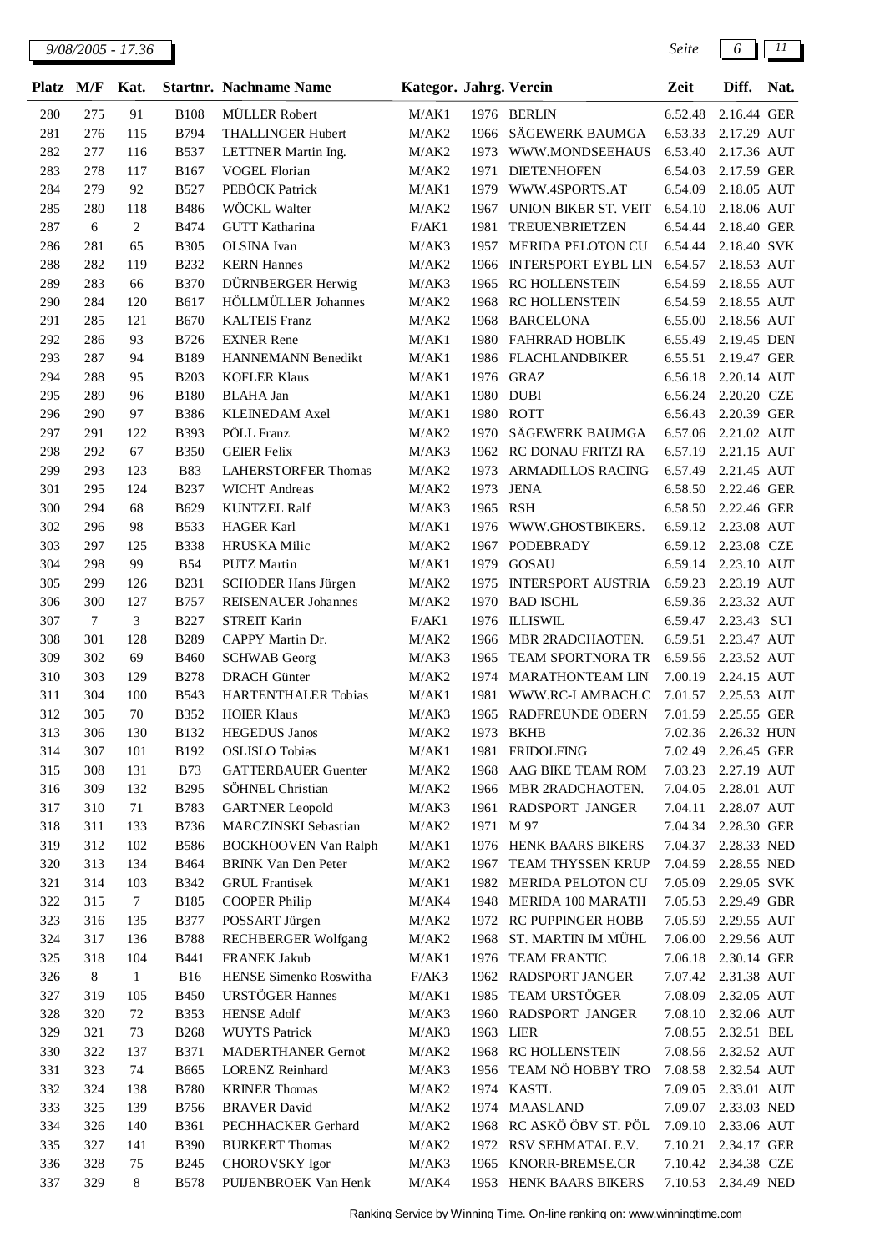| Platz      | M/F              | Kat.             |                            | <b>Startnr.</b> Nachname Name              | Kategor. Jahrg. Verein |              |                                        | Zeit               | Diff.                      | Nat. |
|------------|------------------|------------------|----------------------------|--------------------------------------------|------------------------|--------------|----------------------------------------|--------------------|----------------------------|------|
| 280        | 275              | 91               | <b>B108</b>                | <b>MÜLLER</b> Robert                       | M/AK1                  |              | 1976 BERLIN                            | 6.52.48            | 2.16.44 GER                |      |
| 281        | 276              | 115              | <b>B794</b>                | <b>THALLINGER Hubert</b>                   | M/AK2                  | 1966         | SÄGEWERK BAUMGA                        | 6.53.33            | 2.17.29 AUT                |      |
| 282        | 277              | 116              | <b>B537</b>                | LETTNER Martin Ing.                        | M/AK2                  | 1973         | WWW.MONDSEEHAUS                        | 6.53.40            | 2.17.36 AUT                |      |
| 283        | 278              | 117              | B167                       | <b>VOGEL Florian</b>                       | M/AK2                  | 1971         | <b>DIETENHOFEN</b>                     | 6.54.03            | 2.17.59 GER                |      |
| 284        | 279              | 92               | <b>B527</b>                | PEBÖCK Patrick                             | M/AK1                  | 1979         | WWW.4SPORTS.AT                         | 6.54.09            | 2.18.05 AUT                |      |
| 285        | 280              | 118              | <b>B486</b>                | WÖCKL Walter                               | M/AK2                  | 1967         | UNION BIKER ST. VEIT                   | 6.54.10            | 2.18.06 AUT                |      |
| 287        | 6                | $\boldsymbol{2}$ | <b>B474</b>                | <b>GUTT Katharina</b>                      | F/AK1                  | 1981         | TREUENBRIETZEN                         | 6.54.44            | 2.18.40 GER                |      |
| 286        | 281              | 65               | <b>B305</b>                | OLSINA Ivan                                | M/AK3                  | 1957         | MERIDA PELOTON CU                      | 6.54.44            | 2.18.40 SVK                |      |
| 288        | 282              | 119              | <b>B232</b>                | <b>KERN Hannes</b>                         | M/AK2                  | 1966         | <b>INTERSPORT EYBL LIN</b>             | 6.54.57            | 2.18.53 AUT                |      |
| 289        | 283              | 66               | <b>B370</b>                | DÜRNBERGER Herwig                          | M/AK3                  | 1965         | RC HOLLENSTEIN                         | 6.54.59            | 2.18.55 AUT                |      |
| 290        | 284              | 120              | <b>B617</b>                | HÖLLMÜLLER Johannes                        | M/AK2                  | 1968         | <b>RC HOLLENSTEIN</b>                  | 6.54.59            | 2.18.55 AUT                |      |
| 291        | 285              | 121              | <b>B670</b>                | <b>KALTEIS Franz</b>                       | M/AK2                  | 1968         | <b>BARCELONA</b>                       | 6.55.00            | 2.18.56 AUT                |      |
| 292        | 286              | 93               | B726                       | <b>EXNER Rene</b>                          | M/AK1                  | 1980         | FAHRRAD HOBLIK                         | 6.55.49            | 2.19.45 DEN                |      |
| 293        | 287              | 94               | <b>B189</b>                | HANNEMANN Benedikt                         | M/AK1                  | 1986         | <b>FLACHLANDBIKER</b>                  | 6.55.51            | 2.19.47 GER                |      |
| 294        | 288              | 95               | <b>B203</b>                | <b>KOFLER Klaus</b>                        | M/AK1                  |              | 1976 GRAZ                              | 6.56.18            | 2.20.14 AUT                |      |
| 295        | 289              | 96               | <b>B180</b>                | <b>BLAHA Jan</b>                           | M/AK1                  |              | 1980 DUBI                              | 6.56.24            | 2.20.20 CZE                |      |
| 296        | 290              | 97               | <b>B386</b>                | <b>KLEINEDAM Axel</b>                      | M/AK1                  | 1980         | <b>ROTT</b>                            | 6.56.43            | 2.20.39 GER                |      |
| 297        | 291              | 122              | <b>B393</b>                | PÖLL Franz                                 | M/AK2                  | 1970         | SÄGEWERK BAUMGA                        | 6.57.06            | 2.21.02 AUT                |      |
| 298        | 292              | 67               | <b>B350</b>                | <b>GEIER Felix</b>                         | M/AK3                  | 1962         | RC DONAU FRITZI RA                     | 6.57.19            | 2.21.15 AUT                |      |
| 299        | 293              | 123              | <b>B83</b>                 | <b>LAHERSTORFER Thomas</b>                 | M/AK2                  | 1973         | ARMADILLOS RACING                      | 6.57.49            | 2.21.45 AUT                |      |
| 301        | 295              | 124              | <b>B237</b>                | <b>WICHT</b> Andreas                       | M/AK2                  | 1973         | <b>JENA</b>                            | 6.58.50            | 2.22.46 GER                |      |
| 300        | 294              | 68               | B629                       | <b>KUNTZEL Ralf</b>                        | M/AK3                  | 1965         | <b>RSH</b>                             | 6.58.50            | 2.22.46 GER                |      |
| 302        | 296              | 98               | <b>B533</b>                | <b>HAGER Karl</b>                          | M/AK1                  | 1976         | WWW.GHOSTBIKERS.                       | 6.59.12            | 2.23.08 AUT                |      |
| 303        | 297              | 125              | <b>B338</b>                | <b>HRUSKA</b> Milic                        | M/AK2                  | 1967         | <b>PODEBRADY</b>                       | 6.59.12            | 2.23.08 CZE                |      |
| 304        | 298              | 99               | <b>B54</b>                 | <b>PUTZ Martin</b>                         | M/AK1                  | 1979         | <b>GOSAU</b>                           | 6.59.14            | 2.23.10 AUT                |      |
| 305        | 299              | 126              | <b>B231</b>                | SCHODER Hans Jürgen                        | M/AK2                  | 1975         | <b>INTERSPORT AUSTRIA</b>              | 6.59.23            | 2.23.19 AUT                |      |
| 306        | 300              | 127              | <b>B757</b>                | <b>REISENAUER Johannes</b>                 | M/AK2                  | 1970         | <b>BAD ISCHL</b>                       | 6.59.36            | 2.23.32 AUT                |      |
| 307        | $\boldsymbol{7}$ | 3                | <b>B227</b>                | <b>STREIT Karin</b>                        | F/AK1                  | 1976         | <b>ILLISWIL</b>                        | 6.59.47            | 2.23.43 SUI                |      |
| 308        | 301              | 128              | <b>B289</b>                | CAPPY Martin Dr.                           | M/AK2                  | 1966         | MBR 2RADCHAOTEN.                       | 6.59.51            | 2.23.47 AUT                |      |
| 309        | 302              | 69               | <b>B460</b>                | <b>SCHWAB</b> Georg                        | M/AK3                  | 1965         | <b>TEAM SPORTNORA TR</b>               | 6.59.56            | 2.23.52 AUT                |      |
| 310        | 303              | 129              | <b>B278</b>                | <b>DRACH</b> Günter                        | M/AK2                  | 1974         | <b>MARATHONTEAM LIN</b>                | 7.00.19            | 2.24.15 AUT                |      |
| 311        | 304              | 100              | <b>B543</b>                | <b>HARTENTHALER Tobias</b>                 | M/AK1                  | 1981         | WWW.RC-LAMBACH.C                       | 7.01.57            | 2.25.53 AUT                |      |
| 312        | 305              | 70               | <b>B352</b>                | <b>HOIER Klaus</b>                         | M/AK3                  | 1965         | <b>RADFREUNDE OBERN</b>                | 7.01.59            | 2.25.55 GER                |      |
| 313        | 306              | 130              | <b>B132</b>                | <b>HEGEDUS Janos</b>                       | M/AK2                  |              | 1973 BKHB                              | 7.02.36            | 2.26.32 HUN                |      |
| 314        | 307              | 101              | B192                       | <b>OSLISLO</b> Tobias                      | M/AK1                  |              | 1981 FRIDOLFING                        | 7.02.49            | 2.26.45 GER                |      |
| 315        | 308              | 131              | <b>B73</b>                 | <b>GATTERBAUER Guenter</b>                 | M/AK2                  | 1968         | AAG BIKE TEAM ROM                      | 7.03.23            | 2.27.19 AUT                |      |
| 316        | 309              | 132              | <b>B295</b>                | SÖHNEL Christian                           | M/AK2                  | 1966         | MBR 2RADCHAOTEN.                       | 7.04.05            | 2.28.01 AUT                |      |
| 317        | 310              | 71               | B783                       | <b>GARTNER</b> Leopold                     | M/AK3                  | 1961         | RADSPORT JANGER                        | 7.04.11            | 2.28.07 AUT                |      |
| 318        | 311              | 133              | <b>B736</b>                | <b>MARCZINSKI</b> Sebastian                | M/AK2                  | 1971 M 97    |                                        | 7.04.34            | 2.28.30 GER                |      |
| 319        | 312              | 102              | <b>B586</b>                | <b>BOCKHOOVEN Van Ralph</b>                | M/AK1                  |              | 1976 HENK BAARS BIKERS                 | 7.04.37            | 2.28.33 NED                |      |
| 320        | 313              | 134              | <b>B464</b>                | <b>BRINK Van Den Peter</b>                 | M/AK2                  | 1967         | TEAM THYSSEN KRUP                      | 7.04.59            | 2.28.55 NED                |      |
| 321        | 314              | 103              | <b>B342</b>                | <b>GRUL Frantisek</b>                      | M/AK1                  | 1982         | MERIDA PELOTON CU                      | 7.05.09            | 2.29.05 SVK                |      |
| 322        | 315              | $\overline{7}$   | <b>B185</b>                | <b>COOPER Philip</b>                       | M/AK4                  | 1948         | MERIDA 100 MARATH                      | 7.05.53            | 2.29.49 GBR                |      |
| 323        | 316              | 135              | <b>B377</b>                | POSSART Jürgen                             | M/AK2                  | 1972         | <b>RC PUPPINGER HOBB</b>               | 7.05.59            | 2.29.55 AUT<br>2.29.56 AUT |      |
| 324        | 317<br>318       | 136<br>104       | <b>B788</b>                | <b>RECHBERGER Wolfgang</b><br>FRANEK Jakub | M/AK2                  | 1968         | ST. MARTIN IM MÜHL                     | 7.06.00<br>7.06.18 |                            |      |
| 325<br>326 | 8                | $\mathbf{1}$     | <b>B441</b><br><b>B16</b>  | HENSE Simenko Roswitha                     | M/AK1<br>F/AK3         | 1976<br>1962 | <b>TEAM FRANTIC</b><br>RADSPORT JANGER | 7.07.42            | 2.30.14 GER<br>2.31.38 AUT |      |
|            |                  |                  |                            | URSTÖGER Hannes                            |                        |              | TEAM URSTÖGER                          |                    |                            |      |
| 327<br>328 | 319<br>320       | 105<br>72        | <b>B450</b><br><b>B353</b> | <b>HENSE Adolf</b>                         | M/AK1<br>M/AK3         | 1985         | 1960 RADSPORT JANGER                   | 7.08.09<br>7.08.10 | 2.32.05 AUT<br>2.32.06 AUT |      |
| 329        | 321              | 73               | <b>B268</b>                | <b>WUYTS Patrick</b>                       | M/AK3                  | 1963 LIER    |                                        | 7.08.55            | 2.32.51 BEL                |      |
| 330        | 322              | 137              | <b>B371</b>                | <b>MADERTHANER Gernot</b>                  | $\rm M/AK2$            |              | 1968 RC HOLLENSTEIN                    | 7.08.56            | 2.32.52 AUT                |      |
| 331        | 323              | 74               | <b>B665</b>                | LORENZ Reinhard                            | M/AK3                  | 1956         | TEAM NÖ HOBBY TRO                      | 7.08.58            | 2.32.54 AUT                |      |
| 332        | 324              | 138              | <b>B780</b>                | <b>KRINER Thomas</b>                       | M/AK2                  |              | 1974 KASTL                             | 7.09.05            | 2.33.01 AUT                |      |
| 333        | 325              | 139              | <b>B756</b>                | <b>BRAVER</b> David                        | M/AK2                  | 1974         | <b>MAASLAND</b>                        | 7.09.07            | 2.33.03 NED                |      |
| 334        | 326              | 140              | <b>B361</b>                | PECHHACKER Gerhard                         | M/AK2                  | 1968         | RC ASKÖ ÖBV ST. PÖL                    | 7.09.10            | 2.33.06 AUT                |      |
| 335        | 327              | 141              | <b>B390</b>                | <b>BURKERT Thomas</b>                      | M/AK2                  | 1972         | RSV SEHMATAL E.V.                      | 7.10.21            | 2.34.17 GER                |      |
| 336        | 328              | 75               | <b>B245</b>                | <b>CHOROVSKY</b> Igor                      | M/AK3                  | 1965         | KNORR-BREMSE.CR                        | 7.10.42            | 2.34.38 CZE                |      |
| 337        | 329              | 8                | <b>B578</b>                | PUIJENBROEK Van Henk                       | M/AK4                  |              | 1953 HENK BAARS BIKERS                 | 7.10.53            | 2.34.49 NED                |      |
|            |                  |                  |                            |                                            |                        |              |                                        |                    |                            |      |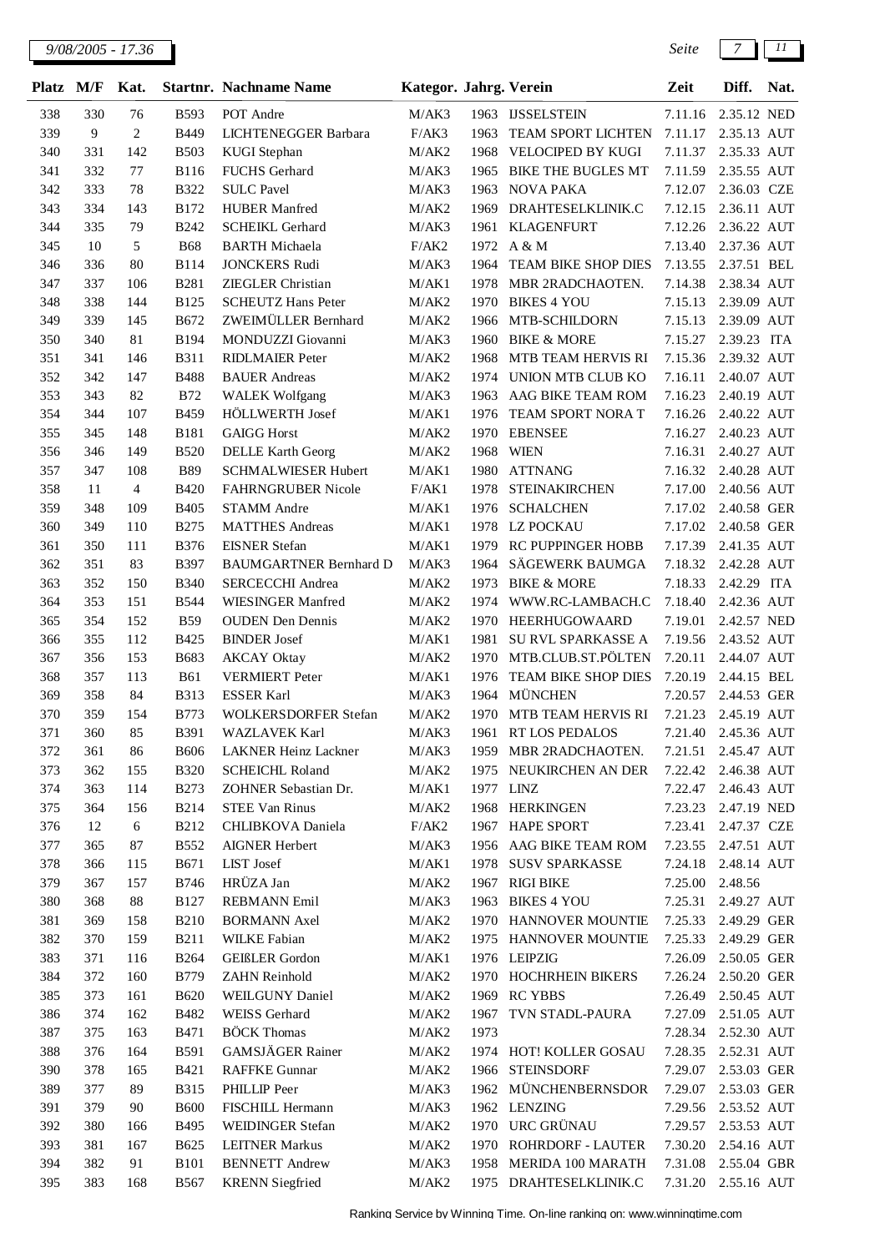| <b>Platz</b> | M/F        | Kat.           |                            | <b>Startnr.</b> Nachname Name          | Kategor. Jahrg. Verein |      |                                         | Zeit               | Diff.                      | Nat. |
|--------------|------------|----------------|----------------------------|----------------------------------------|------------------------|------|-----------------------------------------|--------------------|----------------------------|------|
| 338          | 330        | 76             | <b>B593</b>                | POT Andre                              | M/AK3                  |      | 1963 IJSSELSTEIN                        | 7.11.16            | 2.35.12 NED                |      |
| 339          | 9          | $\mathfrak{2}$ | B449                       | LICHTENEGGER Barbara                   | F/AK3                  | 1963 | TEAM SPORT LICHTEN                      | 7.11.17            | 2.35.13 AUT                |      |
| 340          | 331        | 142            | <b>B503</b>                | <b>KUGI</b> Stephan                    | M/AK2                  | 1968 | VELOCIPED BY KUGI                       | 7.11.37            | 2.35.33 AUT                |      |
| 341          | 332        | 77             | <b>B116</b>                | FUCHS Gerhard                          | M/AK3                  | 1965 | <b>BIKE THE BUGLES MT</b>               | 7.11.59            | 2.35.55 AUT                |      |
| 342          | 333        | 78             | <b>B322</b>                | <b>SULC Pavel</b>                      | M/AK3                  | 1963 | <b>NOVA PAKA</b>                        | 7.12.07            | 2.36.03 CZE                |      |
| 343          | 334        | 143            | <b>B172</b>                | <b>HUBER Manfred</b>                   | M/AK2                  | 1969 | DRAHTESELKLINIK.C                       | 7.12.15            | 2.36.11 AUT                |      |
| 344          | 335        | 79             | <b>B242</b>                | <b>SCHEIKL Gerhard</b>                 | M/AK3                  | 1961 | <b>KLAGENFURT</b>                       | 7.12.26            | 2.36.22 AUT                |      |
| 345          | 10         | 5              | <b>B68</b>                 | <b>BARTH Michaela</b>                  | F/AK2                  | 1972 | A & M                                   | 7.13.40            | 2.37.36 AUT                |      |
| 346          | 336        | 80             | <b>B114</b>                | <b>JONCKERS Rudi</b>                   | M/AK3                  | 1964 | TEAM BIKE SHOP DIES                     | 7.13.55            | 2.37.51 BEL                |      |
| 347          | 337        | 106            | <b>B281</b>                | <b>ZIEGLER</b> Christian               | M/AK1                  | 1978 | MBR 2RADCHAOTEN.                        | 7.14.38            | 2.38.34 AUT                |      |
| 348          | 338        | 144            | <b>B125</b>                | <b>SCHEUTZ Hans Peter</b>              | M/AK2                  | 1970 | <b>BIKES 4 YOU</b>                      | 7.15.13            | 2.39.09 AUT                |      |
| 349          | 339        | 145            | B672                       | ZWEIMÜLLER Bernhard                    | M/AK2                  | 1966 | MTB-SCHILDORN                           | 7.15.13            | 2.39.09 AUT                |      |
| 350          | 340        | 81             | B194                       | MONDUZZI Giovanni                      | M/AK3                  | 1960 | <b>BIKE &amp; MORE</b>                  | 7.15.27            | 2.39.23 ITA                |      |
| 351          | 341        | 146            | <b>B311</b>                | <b>RIDLMAIER Peter</b>                 | M/AK2                  | 1968 | MTB TEAM HERVIS RI                      | 7.15.36            | 2.39.32 AUT                |      |
| 352          | 342        | 147            | <b>B488</b>                | <b>BAUER</b> Andreas                   | M/AK2                  | 1974 | UNION MTB CLUB KO                       | 7.16.11            | 2.40.07 AUT                |      |
| 353          | 343        | 82             | <b>B72</b>                 | <b>WALEK Wolfgang</b>                  | M/AK3                  | 1963 | AAG BIKE TEAM ROM                       | 7.16.23            | 2.40.19 AUT                |      |
| 354          | 344        | 107            | B459                       | HÖLLWERTH Josef                        | M/AK1                  | 1976 | TEAM SPORT NORA T                       | 7.16.26            | 2.40.22 AUT                |      |
| 355          | 345        | 148            | <b>B181</b>                | <b>GAIGG Horst</b>                     | M/AK2                  | 1970 | <b>EBENSEE</b>                          | 7.16.27            | 2.40.23 AUT                |      |
| 356          | 346        | 149            | <b>B520</b>                | <b>DELLE Karth Georg</b>               | M/AK2                  | 1968 | <b>WIEN</b>                             | 7.16.31            | 2.40.27 AUT                |      |
| 357          | 347        | 108            | <b>B89</b>                 | SCHMALWIESER Hubert                    | M/AK1                  | 1980 | <b>ATTNANG</b>                          | 7.16.32            | 2.40.28 AUT                |      |
| 358          | 11         | 4              | <b>B420</b>                | FAHRNGRUBER Nicole                     | F/AK1                  | 1978 | <b>STEINAKIRCHEN</b>                    | 7.17.00            | 2.40.56 AUT                |      |
| 359          | 348        | 109            | <b>B405</b>                | <b>STAMM</b> Andre                     | M/AK1                  | 1976 | <b>SCHALCHEN</b>                        | 7.17.02            | 2.40.58 GER                |      |
| 360          | 349        | 110            | <b>B275</b>                | <b>MATTHES Andreas</b>                 | M/AK1                  | 1978 | LZ POCKAU                               | 7.17.02            | 2.40.58 GER                |      |
| 361          | 350        | 111            | <b>B376</b>                | <b>EISNER</b> Stefan                   | M/AK1                  | 1979 | RC PUPPINGER HOBB                       | 7.17.39            | 2.41.35 AUT                |      |
| 362          | 351        | 83             | B397                       | <b>BAUMGARTNER Bernhard D</b>          | M/AK3                  | 1964 | SÄGEWERK BAUMGA                         | 7.18.32            | 2.42.28 AUT                |      |
| 363          | 352        | 150            | <b>B340</b>                | SERCECCHI Andrea                       | M/AK2                  | 1973 | <b>BIKE &amp; MORE</b>                  | 7.18.33            | 2.42.29 ITA                |      |
| 364          | 353        | 151            | <b>B544</b>                | <b>WIESINGER Manfred</b>               | M/AK2                  | 1974 | WWW.RC-LAMBACH.C                        | 7.18.40            | 2.42.36 AUT                |      |
| 365          | 354        | 152            | <b>B59</b>                 | <b>OUDEN</b> Den Dennis                | M/AK2                  | 1970 | HEERHUGOWAARD                           | 7.19.01            | 2.42.57 NED                |      |
| 366          | 355        | 112            | <b>B425</b>                | <b>BINDER Josef</b>                    | M/AK1                  | 1981 | SU RVL SPARKASSE A                      | 7.19.56            | 2.43.52 AUT                |      |
| 367          | 356        | 153            | B683                       | <b>AKCAY</b> Oktay                     | M/AK2                  | 1970 | MTB.CLUB.ST.PÖLTEN                      | 7.20.11            | 2.44.07 AUT                |      |
| 368          | 357        | 113            | <b>B61</b>                 | <b>VERMIERT</b> Peter                  | M/AK1                  | 1976 | TEAM BIKE SHOP DIES                     | 7.20.19            | 2.44.15 BEL                |      |
| 369          | 358        | 84             | <b>B313</b>                | <b>ESSER Karl</b>                      | M/AK3                  | 1964 | <b>MÜNCHEN</b>                          | 7.20.57            | 2.44.53 GER                |      |
| 370          | 359        | 154            | <b>B773</b>                | WOLKERSDORFER Stefan                   | M/AK2                  | 1970 | MTB TEAM HERVIS RI                      | 7.21.23            | 2.45.19 AUT                |      |
| 371          | 360        | 85             | B391                       | WAZLAVEK Karl                          | M/AK3                  |      | 1961 RT LOS PEDALOS                     |                    | 7.21.40 2.45.36 AUT        |      |
| 372          | 361        | 86             | <b>B606</b>                | LAKNER Heinz Lackner                   | M/AK3                  | 1959 | MBR 2RADCHAOTEN.                        | 7.21.51            | 2.45.47 AUT                |      |
| 373          | 362        | 155            | <b>B320</b>                | <b>SCHEICHL Roland</b>                 | $\rm M/AK2$            |      | 1975 NEUKIRCHEN AN DER                  | 7.22.42            | 2.46.38 AUT                |      |
| 374          | 363        | 114            | <b>B273</b>                | ZOHNER Sebastian Dr.                   | M/AK1                  |      | 1977 LINZ                               | 7.22.47            | 2.46.43 AUT                |      |
| 375          | 364        | 156            | <b>B214</b>                | <b>STEE Van Rinus</b>                  | M/AK2                  | 1968 | <b>HERKINGEN</b>                        | 7.23.23            | 2.47.19 NED                |      |
| 376          | 12         | 6              | <b>B212</b>                | CHLIBKOVA Daniela                      | F/AK2                  | 1967 | <b>HAPE SPORT</b>                       | 7.23.41            | 2.47.37 CZE                |      |
| 377          | 365        | 87             | <b>B552</b>                | <b>AIGNER Herbert</b>                  | M/AK3                  |      | 1956 AAG BIKE TEAM ROM                  | 7.23.55            | 2.47.51 AUT                |      |
| 378          | 366        | 115            | <b>B671</b>                | LIST Josef                             | M/AK1                  | 1978 | <b>SUSV SPARKASSE</b>                   | 7.24.18            | 2.48.14 AUT                |      |
| 379          | 367        | 157            | <b>B746</b>                | HRÜZA Jan                              | M/AK2                  |      | 1967 RIGI BIKE                          | 7.25.00            | 2.48.56                    |      |
| 380          | 368        | 88             | <b>B127</b>                | <b>REBMANN Emil</b>                    | M/AK3                  |      | 1963 BIKES 4 YOU                        |                    | 7.25.31 2.49.27 AUT        |      |
| 381          | 369        | 158            | <b>B210</b>                | <b>BORMANN</b> Axel                    | M/AK2                  |      | 1970 HANNOVER MOUNTIE                   | 7.25.33            | 2.49.29 GER                |      |
| 382          | 370        | 159            | <b>B211</b>                | <b>WILKE Fabian</b>                    | M/AK2                  | 1975 | HANNOVER MOUNTIE                        | 7.25.33            | 2.49.29 GER                |      |
| 383          | 371        | 116            | <b>B264</b>                | <b>GEIßLER</b> Gordon                  | M/AK1                  |      | 1976 LEIPZIG                            | 7.26.09            | 2.50.05 GER                |      |
| 384          | 372        | 160            | <b>B779</b>                | ZAHN Reinhold                          | M/AK2                  |      | 1970 HOCHRHEIN BIKERS                   | 7.26.24            | 2.50.20 GER                |      |
| 385          | 373        | 161            | <b>B620</b>                | WEILGUNY Daniel                        | M/AK2                  | 1969 | <b>RC YBBS</b>                          | 7.26.49            | 2.50.45 AUT                |      |
| 386          | 374        | 162            | <b>B482</b>                | WEISS Gerhard                          | M/AK2                  | 1967 | TVN STADL-PAURA                         | 7.27.09            | 2.51.05 AUT                |      |
| 387          | 375        | 163            | <b>B471</b>                | <b>BÖCK</b> Thomas<br>GAMSJÄGER Rainer | M/AK2                  | 1973 |                                         |                    | 7.28.34 2.52.30 AUT        |      |
| 388          | 376        | 164            | <b>B591</b>                |                                        | M/AK2                  |      | 1974 HOT! KOLLER GOSAU                  |                    | 7.28.35 2.52.31 AUT        |      |
| 390          | 378        | 165            | <b>B421</b>                | <b>RAFFKE Gunnar</b>                   | M/AK2                  |      | 1966 STEINSDORF<br>1962 MÜNCHENBERNSDOR | 7.29.07            | 2.53.03 GER<br>2.53.03 GER |      |
| 389<br>391   | 377<br>379 | 89<br>90       | <b>B315</b><br><b>B600</b> | PHILLIP Peer<br>FISCHILL Hermann       | M/AK3<br>M/AK3         |      | 1962 LENZING                            | 7.29.07<br>7.29.56 | 2.53.52 AUT                |      |
| 392          | 380        | 166            | B495                       | WEIDINGER Stefan                       | M/AK2                  | 1970 | URC GRÜNAU                              | 7.29.57            | 2.53.53 AUT                |      |
| 393          | 381        | 167            | <b>B625</b>                | <b>LEITNER Markus</b>                  | M/AK2                  | 1970 | ROHRDORF - LAUTER                       | 7.30.20            | 2.54.16 AUT                |      |
| 394          | 382        | 91             | <b>B101</b>                | <b>BENNETT</b> Andrew                  | M/AK3                  | 1958 | MERIDA 100 MARATH                       | 7.31.08            | 2.55.04 GBR                |      |
| 395          | 383        | 168            | <b>B567</b>                | <b>KRENN</b> Siegfried                 | M/AK2                  |      | 1975 DRAHTESELKLINIK.C                  |                    | 7.31.20 2.55.16 AUT        |      |
|              |            |                |                            |                                        |                        |      |                                         |                    |                            |      |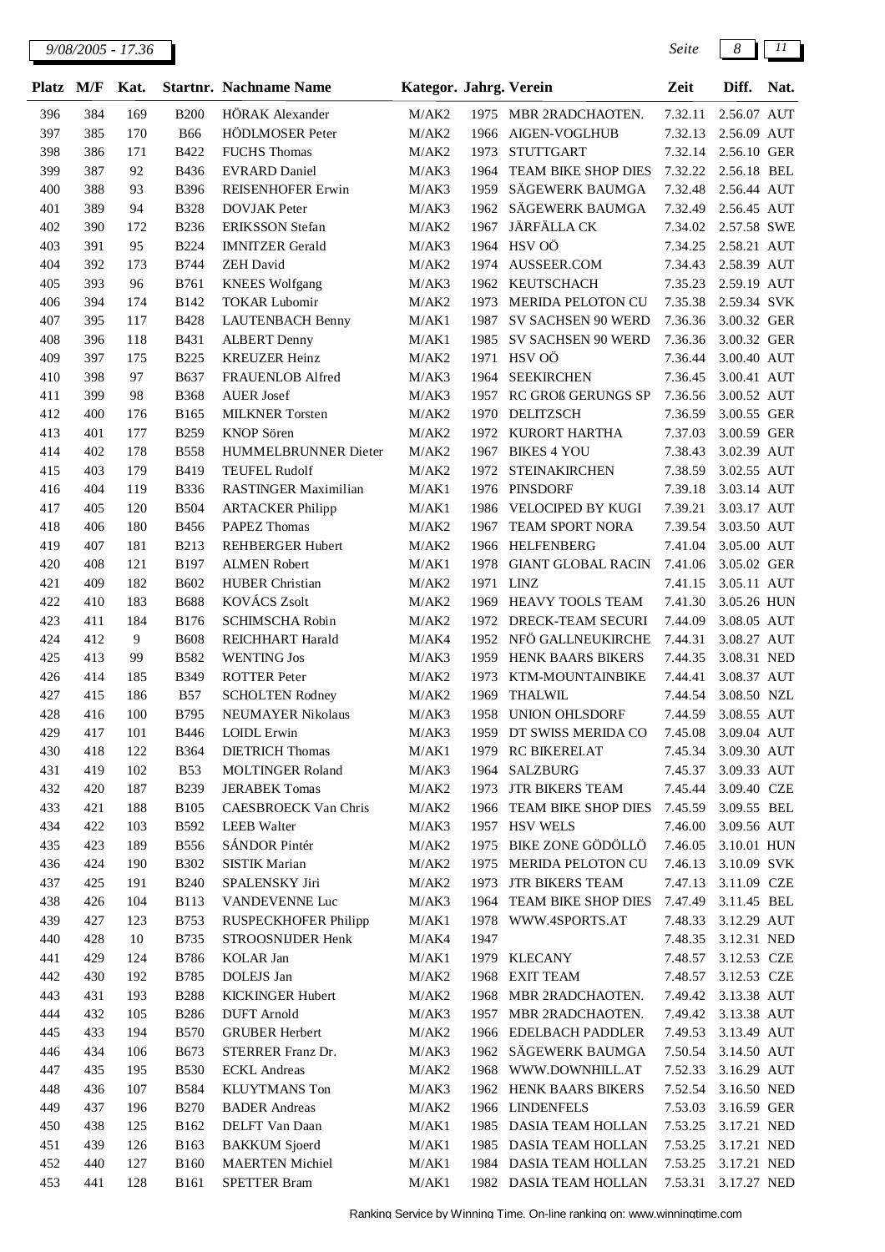| <b>Platz</b> | M/F        | Kat.           |                            | <b>Startnr. Nachname Name</b>           | Kategor. Jahrg. Verein |              |                                         | Zeit                | Diff.                      | Nat. |
|--------------|------------|----------------|----------------------------|-----------------------------------------|------------------------|--------------|-----------------------------------------|---------------------|----------------------------|------|
| 396          | 384        | 169            | <b>B200</b>                | HÖRAK Alexander                         | M/AK2                  |              | 1975 MBR 2RADCHAOTEN.                   | 7.32.11             | 2.56.07 AUT                |      |
| 397          | 385        | 170            | <b>B66</b>                 | <b>HÖDLMOSER</b> Peter                  | M/AK2                  | 1966         | AIGEN-VOGLHUB                           | 7.32.13             | 2.56.09 AUT                |      |
| 398          | 386        | 171            | B422                       | <b>FUCHS</b> Thomas                     | M/AK2                  | 1973         | <b>STUTTGART</b>                        | 7.32.14             | 2.56.10 GER                |      |
| 399          | 387        | 92             | B436                       | <b>EVRARD Daniel</b>                    | M/AK3                  | 1964         | TEAM BIKE SHOP DIES                     | 7.32.22             | 2.56.18 BEL                |      |
| 400          | 388        | 93             | <b>B396</b>                | <b>REISENHOFER Erwin</b>                | M/AK3                  | 1959         | SÄGEWERK BAUMGA                         | 7.32.48             | 2.56.44 AUT                |      |
| 401          | 389        | 94             | <b>B328</b>                | <b>DOVJAK</b> Peter                     | M/AK3                  | 1962         | SÄGEWERK BAUMGA                         | 7.32.49             | 2.56.45 AUT                |      |
| 402          | 390        | 172            | <b>B236</b>                | <b>ERIKSSON</b> Stefan                  | M/AK2                  | 1967         | JÄRFÄLLA CK                             | 7.34.02             | 2.57.58 SWE                |      |
| 403          | 391        | 95             | <b>B224</b>                | <b>IMNITZER</b> Gerald                  | M/AK3                  | 1964         | HSV OÖ                                  | 7.34.25             | 2.58.21 AUT                |      |
| 404          | 392        | 173            | <b>B744</b>                | <b>ZEH</b> David                        | M/AK2                  | 1974         | AUSSEER.COM                             | 7.34.43             | 2.58.39 AUT                |      |
| 405          | 393        | 96             | B761                       | <b>KNEES</b> Wolfgang                   | M/AK3                  | 1962         | KEUTSCHACH                              | 7.35.23             | 2.59.19 AUT                |      |
| 406          | 394        | 174            | <b>B142</b>                | <b>TOKAR Lubomir</b>                    | M/AK2                  | 1973         | MERIDA PELOTON CU                       | 7.35.38             | 2.59.34 SVK                |      |
| 407          | 395        | 117            | <b>B428</b>                | LAUTENBACH Benny                        | M/AK1                  | 1987         | SV SACHSEN 90 WERD                      | 7.36.36             | 3.00.32 GER                |      |
| 408          | 396        | 118            | <b>B431</b>                | <b>ALBERT</b> Denny                     | M/AK1                  | 1985         | SV SACHSEN 90 WERD                      | 7.36.36             | 3.00.32 GER                |      |
| 409          | 397        | 175            | <b>B225</b>                | <b>KREUZER Heinz</b>                    | M/AK2                  | 1971         | HSV OÖ                                  | 7.36.44             | 3.00.40 AUT                |      |
| 410          | 398        | 97             | <b>B637</b>                | FRAUENLOB Alfred                        | M/AK3                  | 1964         | <b>SEEKIRCHEN</b>                       | 7.36.45             | 3.00.41 AUT                |      |
| 411          | 399        | 98             | <b>B368</b>                | <b>AUER Josef</b>                       | M/AK3                  | 1957         | RC GROß GERUNGS SP                      | 7.36.56             | 3.00.52 AUT                |      |
| 412          | 400        | 176            | <b>B165</b>                | <b>MILKNER Torsten</b>                  | M/AK2                  | 1970         | DELITZSCH                               | 7.36.59             | 3.00.55 GER                |      |
| 413          | 401        | 177            | <b>B259</b>                | <b>KNOP</b> Sören                       | M/AK2                  | 1972         | KURORT HARTHA                           | 7.37.03             | 3.00.59 GER                |      |
| 414          | 402        | 178            | <b>B558</b>                | HUMMELBRUNNER Dieter                    | M/AK2                  | 1967         | <b>BIKES 4 YOU</b>                      | 7.38.43             | 3.02.39 AUT                |      |
| 415          | 403        | 179            | B419                       | <b>TEUFEL Rudolf</b>                    | M/AK2                  | 1972         | <b>STEINAKIRCHEN</b><br><b>PINSDORF</b> | 7.38.59             | 3.02.55 AUT                |      |
| 416          | 404        | 119            | <b>B336</b>                | RASTINGER Maximilian                    | M/AK1                  | 1976         |                                         | 7.39.18             | 3.03.14 AUT                |      |
| 417          | 405<br>406 | 120            | <b>B504</b>                | <b>ARTACKER Philipp</b><br>PAPEZ Thomas | M/AK1                  | 1986<br>1967 | VELOCIPED BY KUGI                       | 7.39.21<br>7.39.54  | 3.03.17 AUT                |      |
| 418<br>419   | 407        | 180<br>181     | <b>B456</b><br><b>B213</b> | <b>REHBERGER Hubert</b>                 | M/AK2<br>M/AK2         | 1966         | TEAM SPORT NORA<br><b>HELFENBERG</b>    | 7.41.04             | 3.03.50 AUT<br>3.05.00 AUT |      |
| 420          | 408        | 121            | <b>B197</b>                | <b>ALMEN Robert</b>                     | M/AK1                  | 1978         | <b>GIANT GLOBAL RACIN</b>               | 7.41.06             | 3.05.02 GER                |      |
| 421          | 409        | 182            | <b>B602</b>                | <b>HUBER Christian</b>                  | M/AK2                  | 1971         | <b>LINZ</b>                             | 7.41.15             | 3.05.11 AUT                |      |
| 422          | 410        | 183            | <b>B688</b>                | KOVÁCS Zsolt                            | M/AK2                  | 1969         | HEAVY TOOLS TEAM                        | 7.41.30             | 3.05.26 HUN                |      |
| 423          | 411        | 184            | <b>B176</b>                | SCHIMSCHA Robin                         | M/AK2                  | 1972         | DRECK-TEAM SECURI                       | 7.44.09             | 3.08.05 AUT                |      |
| 424          | 412        | $\overline{9}$ | <b>B608</b>                | REICHHART Harald                        | M/AK4                  | 1952         | NFÖ GALLNEUKIRCHE                       | 7.44.31             | 3.08.27 AUT                |      |
| 425          | 413        | 99             | <b>B582</b>                | <b>WENTING Jos</b>                      | M/AK3                  | 1959         | HENK BAARS BIKERS                       | 7.44.35             | 3.08.31 NED                |      |
| 426          | 414        | 185            | <b>B349</b>                | <b>ROTTER Peter</b>                     | M/AK2                  | 1973         | KTM-MOUNTAINBIKE                        | 7.44.41             | 3.08.37 AUT                |      |
| 427          | 415        | 186            | <b>B57</b>                 | <b>SCHOLTEN Rodney</b>                  | M/AK2                  | 1969         | <b>THALWIL</b>                          | 7.44.54             | 3.08.50 NZL                |      |
| 428          | 416        | 100            | B795                       | <b>NEUMAYER Nikolaus</b>                | M/AK3                  | 1958         | <b>UNION OHLSDORF</b>                   | 7.44.59             | 3.08.55 AUT                |      |
| 429          | 417        | 101            | <b>B446</b>                | <b>LOIDL</b> Erwin                      | M/AK3                  | 1959         | DT SWISS MERIDA CO                      | 7.45.08             | 3.09.04 AUT                |      |
| 430          | 418        | 122            | <b>B364</b>                | <b>DIETRICH Thomas</b>                  | M/AK1                  | 1979         | RC BIKERELAT                            | 7.45.34 3.09.30 AUT |                            |      |
| 431          | 419        | 102            | <b>B53</b>                 | <b>MOLTINGER Roland</b>                 | M/AK3                  | 1964         | <b>SALZBURG</b>                         | 7.45.37             | 3.09.33 AUT                |      |
| 432          | 420        | 187            | <b>B239</b>                | <b>JERABEK Tomas</b>                    | M/AK2                  |              | 1973 JTR BIKERS TEAM                    | 7.45.44             | 3.09.40 CZE                |      |
| 433          | 421        | 188            | <b>B105</b>                | <b>CAESBROECK Van Chris</b>             | M/AK2                  | 1966         | TEAM BIKE SHOP DIES                     | 7.45.59             | 3.09.55 BEL                |      |
| 434          | 422        | 103            | <b>B592</b>                | <b>LEEB</b> Walter                      | M/AK3                  | 1957         | <b>HSV WELS</b>                         | 7.46.00             | 3.09.56 AUT                |      |
| 435          | 423        | 189            | <b>B556</b>                | SÁNDOR Pintér                           | M/AK2                  | 1975         | <b>BIKE ZONE GÖDÖLLÖ</b>                | 7.46.05             | 3.10.01 HUN                |      |
| 436          | 424        | 190            | <b>B302</b>                | <b>SISTIK Marian</b>                    | M/AK2                  | 1975         | <b>MERIDA PELOTON CU</b>                | 7.46.13             | 3.10.09 SVK                |      |
| 437          | 425        | 191            | <b>B240</b>                | SPALENSKY Jiri                          | M/AK2                  | 1973         | <b>JTR BIKERS TEAM</b>                  | 7.47.13             | 3.11.09 CZE                |      |
| 438          | 426        | 104            | <b>B113</b>                | VANDEVENNE Luc                          | M/AK3                  | 1964         | TEAM BIKE SHOP DIES                     | 7.47.49             | 3.11.45 BEL                |      |
| 439          | 427        | 123            | <b>B753</b>                | <b>RUSPECKHOFER Philipp</b>             | M/AK1                  |              | 1978 WWW.4SPORTS.AT                     | 7.48.33             | 3.12.29 AUT                |      |
| 440          | 428        | 10             | <b>B735</b>                | STROOSNIJDER Henk                       | M/AK4                  | 1947         |                                         | 7.48.35             | 3.12.31 NED                |      |
| 441          | 429        | 124            | <b>B786</b>                | KOLAR Jan                               | M/AK1                  |              | 1979 KLECANY                            | 7.48.57             | 3.12.53 CZE                |      |
| 442          | 430        | 192            | B785                       | DOLEJS Jan                              | M/AK2                  | 1968         | EXIT TEAM                               | 7.48.57             | 3.12.53 CZE                |      |
| 443          | 431        | 193            | <b>B288</b>                | <b>KICKINGER Hubert</b>                 | M/AK2                  |              | 1968 MBR 2RADCHAOTEN.                   | 7.49.42             | 3.13.38 AUT                |      |
| 444          | 432        | 105            | <b>B286</b>                | <b>DUFT</b> Arnold                      | M/AK3                  | 1957         | MBR 2RADCHAOTEN.                        | 7.49.42             | 3.13.38 AUT                |      |
| 445          | 433        | 194            | <b>B570</b>                | <b>GRUBER Herbert</b>                   | M/AK2                  |              | 1966 EDELBACH PADDLER                   | 7.49.53             | 3.13.49 AUT                |      |
| 446          | 434        | 106            | B673                       | STERRER Franz Dr.                       | M/AK3                  | 1962         | SÄGEWERK BAUMGA                         | 7.50.54             | 3.14.50 AUT                |      |
| 447          | 435        | 195            | <b>B530</b>                | <b>ECKL</b> Andreas                     | M/AK2                  | 1968         | WWW.DOWNHILL.AT                         | 7.52.33             | 3.16.29 AUT                |      |
| 448          | 436        | 107            | <b>B584</b>                | KLUYTMANS Ton                           | M/AK3                  | 1962         | HENK BAARS BIKERS                       | 7.52.54             | 3.16.50 NED                |      |
| 449          | 437        | 196            | <b>B270</b>                | <b>BADER</b> Andreas                    | M/AK2                  | 1966         | <b>LINDENFELS</b>                       | 7.53.03             | 3.16.59 GER                |      |
| 450          | 438        | 125            | B162                       | DELFT Van Daan                          | M/AK1                  | 1985         | DASIA TEAM HOLLAN                       | 7.53.25             | 3.17.21 NED                |      |
| 451          | 439<br>440 | 126            | B163                       | <b>BAKKUM</b> Sjoerd                    | M/AK1                  | 1985         | DASIA TEAM HOLLAN                       | 7.53.25             | 3.17.21 NED                |      |
| 452          |            | 127            | <b>B160</b>                | <b>MAERTEN Michiel</b>                  | M/AK1                  | 1984         | DASIA TEAM HOLLAN                       | 7.53.25             | 3.17.21 NED                |      |
| 453          | 441        | 128            | <b>B161</b>                | <b>SPETTER Bram</b>                     | M/AK1                  |              | 1982 DASIA TEAM HOLLAN                  | 7.53.31             | 3.17.27 NED                |      |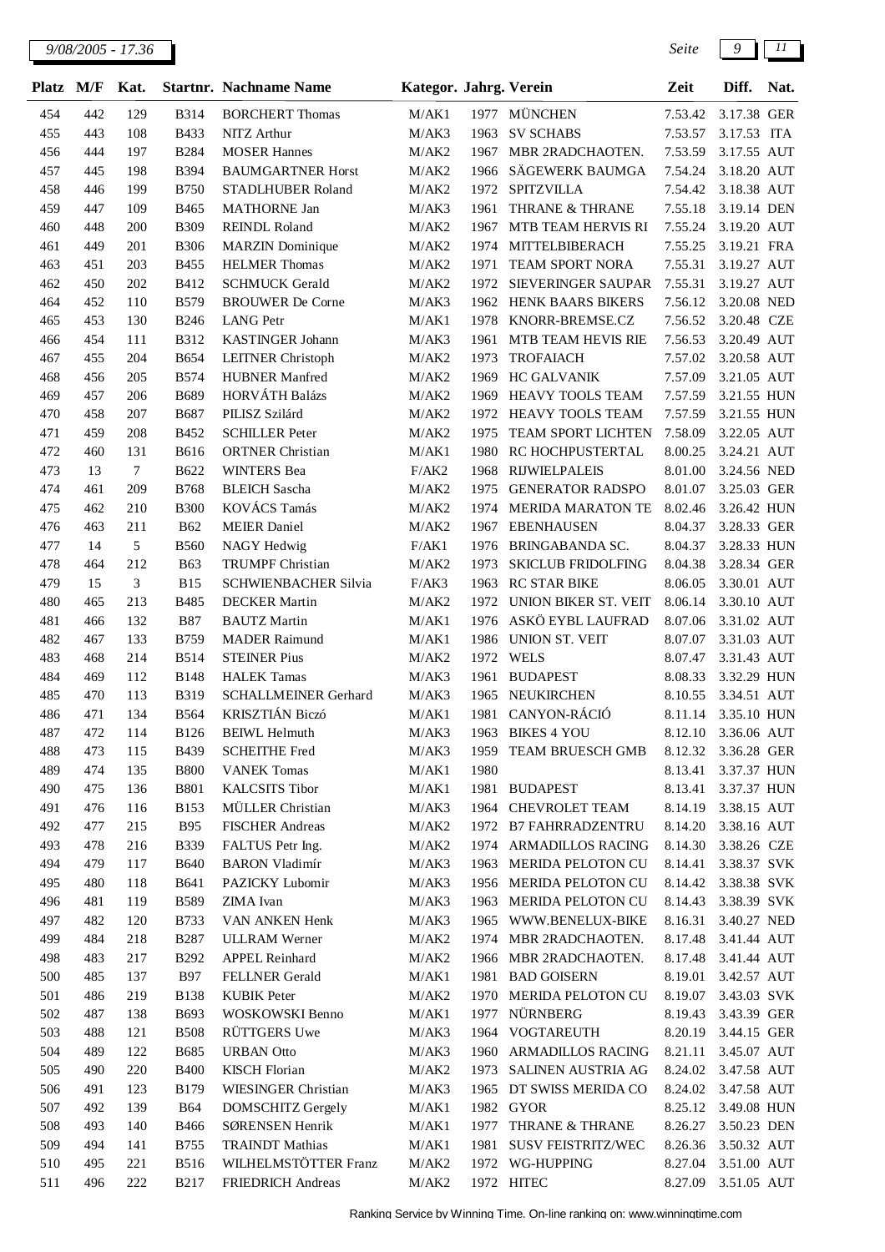*9/08/2005 - 17.36 Seite 9 11*

| <b>Platz</b> | M/F        | Kat.             |                            | <b>Startnr. Nachname Name</b>                  | Kategor. Jahrg. Verein |              |                                   | Zeit                | Diff.       | Nat. |
|--------------|------------|------------------|----------------------------|------------------------------------------------|------------------------|--------------|-----------------------------------|---------------------|-------------|------|
| 454          | 442        | 129              | <b>B314</b>                | <b>BORCHERT Thomas</b>                         | M/AK1                  |              | 1977 MÜNCHEN                      | 7.53.42             | 3.17.38 GER |      |
| 455          | 443        | 108              | B433                       | NITZ Arthur                                    | M/AK3                  | 1963         | <b>SV SCHABS</b>                  | 7.53.57             | 3.17.53 ITA |      |
| 456          | 444        | 197              | <b>B284</b>                | <b>MOSER Hannes</b>                            | M/AK2                  | 1967         | MBR 2RADCHAOTEN.                  | 7.53.59             | 3.17.55 AUT |      |
| 457          | 445        | 198              | <b>B394</b>                | <b>BAUMGARTNER Horst</b>                       | M/AK2                  | 1966         | SÄGEWERK BAUMGA                   | 7.54.24             | 3.18.20 AUT |      |
| 458          | 446        | 199              | <b>B750</b>                | STADLHUBER Roland                              | M/AK2                  | 1972         | <b>SPITZVILLA</b>                 | 7.54.42             | 3.18.38 AUT |      |
| 459          | 447        | 109              | <b>B465</b>                | <b>MATHORNE Jan</b>                            | M/AK3                  | 1961         | THRANE & THRANE                   | 7.55.18             | 3.19.14 DEN |      |
| 460          | 448        | 200              | <b>B309</b>                | <b>REINDL Roland</b>                           | M/AK2                  | 1967         | MTB TEAM HERVIS RI                | 7.55.24             | 3.19.20 AUT |      |
| 461          | 449        | 201              | <b>B306</b>                | <b>MARZIN</b> Dominique                        | M/AK2                  | 1974         | MITTELBIBERACH                    | 7.55.25             | 3.19.21 FRA |      |
| 463          | 451        | 203              | <b>B455</b>                | <b>HELMER Thomas</b>                           | M/AK2                  | 1971         | TEAM SPORT NORA                   | 7.55.31             | 3.19.27 AUT |      |
| 462          | 450        | 202              | B412                       | <b>SCHMUCK Gerald</b>                          | M/AK2                  | 1972         | <b>SIEVERINGER SAUPAR</b>         | 7.55.31             | 3.19.27 AUT |      |
| 464          | 452        | 110              | <b>B579</b>                | <b>BROUWER De Corne</b>                        | M/AK3                  | 1962         | HENK BAARS BIKERS                 | 7.56.12             | 3.20.08 NED |      |
| 465          | 453        | 130              | <b>B246</b>                | <b>LANG Petr</b>                               | M/AK1                  | 1978         | KNORR-BREMSE.CZ                   | 7.56.52             | 3.20.48 CZE |      |
| 466          | 454        | 111              | <b>B312</b>                | KASTINGER Johann                               | M/AK3                  | 1961         | <b>MTB TEAM HEVIS RIE</b>         | 7.56.53             | 3.20.49 AUT |      |
| 467          | 455        | 204              | <b>B654</b>                | <b>LEITNER</b> Christoph                       | M/AK2                  | 1973         | <b>TROFAIACH</b>                  | 7.57.02             | 3.20.58 AUT |      |
| 468          | 456        | 205              | <b>B574</b>                | <b>HUBNER Manfred</b>                          | M/AK2                  | 1969         | <b>HC GALVANIK</b>                | 7.57.09             | 3.21.05 AUT |      |
| 469          | 457        | 206              | <b>B689</b>                | <b>HORVÁTH Balázs</b>                          | M/AK2                  | 1969         | HEAVY TOOLS TEAM                  | 7.57.59             | 3.21.55 HUN |      |
| 470          | 458        | 207              | <b>B687</b>                | PILISZ Szilárd                                 | M/AK2                  | 1972         | HEAVY TOOLS TEAM                  | 7.57.59             | 3.21.55 HUN |      |
| 471          | 459        | 208              | <b>B452</b>                | <b>SCHILLER Peter</b>                          | M/AK2                  | 1975         | TEAM SPORT LICHTEN                | 7.58.09             | 3.22.05 AUT |      |
| 472          | 460        | 131              | <b>B616</b>                | <b>ORTNER Christian</b>                        | M/AK1                  | 1980         | RC HOCHPUSTERTAL                  | 8.00.25             | 3.24.21 AUT |      |
| 473          | 13         | $\boldsymbol{7}$ | <b>B622</b>                | <b>WINTERS</b> Bea                             | F/AK2                  | 1968         | <b>RIJWIELPALEIS</b>              | 8.01.00             | 3.24.56 NED |      |
| 474          | 461        | 209              | <b>B768</b>                | <b>BLEICH</b> Sascha                           | M/AK2                  | 1975         | <b>GENERATOR RADSPO</b>           | 8.01.07             | 3.25.03 GER |      |
| 475          | 462        | 210              | <b>B300</b>                | KOVÁCS Tamás                                   | M/AK2                  | 1974         | MERIDA MARATON TE                 | 8.02.46             | 3.26.42 HUN |      |
| 476          | 463        | 211              | <b>B62</b>                 | <b>MEIER</b> Daniel                            | M/AK2                  | 1967         | <b>EBENHAUSEN</b>                 | 8.04.37             | 3.28.33 GER |      |
| 477          | 14         | 5                | <b>B560</b>                | NAGY Hedwig                                    | F/AK1                  | 1976         | BRINGABANDA SC.                   | 8.04.37             | 3.28.33 HUN |      |
| 478          | 464        | 212              | <b>B63</b>                 | <b>TRUMPF Christian</b>                        | M/AK2                  | 1973         | <b>SKICLUB FRIDOLFING</b>         | 8.04.38             | 3.28.34 GER |      |
| 479          | 15         | 3                | <b>B15</b>                 | <b>SCHWIENBACHER Silvia</b>                    | F/AK3                  | 1963         | <b>RC STAR BIKE</b>               | 8.06.05             | 3.30.01 AUT |      |
| 480          | 465        | 213              | B485                       | <b>DECKER Martin</b>                           | M/AK2                  | 1972         | UNION BIKER ST. VEIT              | 8.06.14             | 3.30.10 AUT |      |
| 481          | 466        | 132              | <b>B87</b>                 | <b>BAUTZ</b> Martin                            | M/AK1                  | 1976         | ASKÖ EYBL LAUFRAD                 | 8.07.06             | 3.31.02 AUT |      |
| 482          | 467        | 133              | B759                       | <b>MADER Raimund</b>                           | M/AK1                  | 1986         | UNION ST. VEIT                    | 8.07.07             | 3.31.03 AUT |      |
| 483          | 468        | 214              | <b>B514</b>                | <b>STEINER Pius</b>                            | M/AK2                  | 1972         | <b>WELS</b>                       | 8.07.47             | 3.31.43 AUT |      |
| 484          | 469        | 112              | <b>B148</b>                | <b>HALEK Tamas</b>                             | M/AK3                  | 1961         | <b>BUDAPEST</b>                   | 8.08.33             | 3.32.29 HUN |      |
| 485          | 470        | 113              | <b>B319</b>                | <b>SCHALLMEINER Gerhard</b><br>KRISZTIÁN Biczó | M/AK3                  | 1965<br>1981 | <b>NEUKIRCHEN</b><br>CANYON-RÁCIÓ | 8.10.55<br>8.11.14  | 3.34.51 AUT |      |
| 486          | 471<br>472 | 134<br>114       | <b>B564</b><br><b>B126</b> |                                                | M/AK1                  |              | 1963 BIKES 4 YOU                  | 8.12.10             | 3.35.10 HUN |      |
| 487<br>488   | 473        |                  | B439                       | <b>BEIWL Helmuth</b><br><b>SCHEITHE Fred</b>   | M/AK3<br>M/AK3         | 1959         | TEAM BRUESCH GMB                  | 8.12.32 3.36.28 GER | 3.36.06 AUT |      |
| 489          | 474        | 115<br>135       | <b>B800</b>                | <b>VANEK Tomas</b>                             | M/AK1                  | 1980         |                                   | 8.13.41             | 3.37.37 HUN |      |
| 490          | 475        | 136              | <b>B801</b>                | <b>KALCSITS Tibor</b>                          | M/AK1                  | 1981         | <b>BUDAPEST</b>                   | 8.13.41             | 3.37.37 HUN |      |
| 491          | 476        | 116              | <b>B153</b>                | MÜLLER Christian                               | M/AK3                  | 1964         | CHEVROLET TEAM                    | 8.14.19             | 3.38.15 AUT |      |
| 492          | 477        | 215              | <b>B95</b>                 | <b>FISCHER Andreas</b>                         | M/AK2                  |              | 1972 B7 FAHRRADZENTRU             | 8.14.20             | 3.38.16 AUT |      |
| 493          | 478        | 216              | <b>B339</b>                | FALTUS Petr Ing.                               | M/AK2                  | 1974         | ARMADILLOS RACING                 | 8.14.30             | 3.38.26 CZE |      |
| 494          | 479        | 117              | <b>B640</b>                | <b>BARON Vladimír</b>                          | M/AK3                  | 1963         | MERIDA PELOTON CU                 | 8.14.41             | 3.38.37 SVK |      |
| 495          | 480        | 118              | <b>B641</b>                | PAZICKY Lubomir                                | M/AK3                  | 1956         | MERIDA PELOTON CU                 | 8.14.42             | 3.38.38 SVK |      |
| 496          | 481        | 119              | <b>B589</b>                | ZIMA Ivan                                      | M/AK3                  | 1963         | MERIDA PELOTON CU                 | 8.14.43             | 3.38.39 SVK |      |
| 497          | 482        | 120              | <b>B733</b>                | VAN ANKEN Henk                                 | M/AK3                  | 1965         | WWW.BENELUX-BIKE                  | 8.16.31             | 3.40.27 NED |      |
| 499          | 484        | 218              | <b>B287</b>                | <b>ULLRAM</b> Werner                           | M/AK2                  | 1974         | MBR 2RADCHAOTEN.                  | 8.17.48             | 3.41.44 AUT |      |
| 498          | 483        | 217              | <b>B292</b>                | <b>APPEL Reinhard</b>                          | M/AK2                  | 1966         | MBR 2RADCHAOTEN.                  | 8.17.48             | 3.41.44 AUT |      |
| 500          | 485        | 137              | <b>B97</b>                 | FELLNER Gerald                                 | M/AK1                  | 1981         | <b>BAD GOISERN</b>                | 8.19.01             | 3.42.57 AUT |      |
| 501          | 486        | 219              | <b>B138</b>                | <b>KUBIK</b> Peter                             | M/AK2                  |              | 1970 MERIDA PELOTON CU            | 8.19.07             | 3.43.03 SVK |      |
| 502          | 487        | 138              | <b>B693</b>                | WOSKOWSKI Benno                                | M/AK1                  | 1977         | <b>NÜRNBERG</b>                   | 8.19.43             | 3.43.39 GER |      |
| 503          | 488        | 121              | <b>B508</b>                | RÜTTGERS Uwe                                   | M/AK3                  |              | 1964 VOGTAREUTH                   | 8.20.19             | 3.44.15 GER |      |
| 504          | 489        | 122              | B685                       | <b>URBAN</b> Otto                              | M/AK3                  | 1960         | ARMADILLOS RACING                 | 8.21.11             | 3.45.07 AUT |      |
| 505          | 490        | 220              | <b>B400</b>                | <b>KISCH Florian</b>                           | M/AK2                  | 1973         | SALINEN AUSTRIA AG                | 8.24.02             | 3.47.58 AUT |      |
| 506          | 491        | 123              | B179                       | <b>WIESINGER Christian</b>                     | M/AK3                  | 1965         | DT SWISS MERIDA CO                | 8.24.02             | 3.47.58 AUT |      |
| 507          | 492        | 139              | <b>B64</b>                 | <b>DOMSCHITZ Gergely</b>                       | M/AK1                  |              | 1982 GYOR                         | 8.25.12             | 3.49.08 HUN |      |
| 508          | 493        | 140              | <b>B466</b>                | SØRENSEN Henrik                                | M/AK1                  | 1977         | THRANE & THRANE                   | 8.26.27             | 3.50.23 DEN |      |
| 509          | 494        | 141              | <b>B755</b>                | <b>TRAINDT Mathias</b>                         | M/AK1                  | 1981         | SUSV FEISTRITZ/WEC                | 8.26.36             | 3.50.32 AUT |      |
| 510          | 495        | 221              | <b>B516</b>                | WILHELMSTÖTTER Franz                           | M/AK2                  |              | 1972 WG-HUPPING                   | 8.27.04             | 3.51.00 AUT |      |
| 511          | 496        | 222              | <b>B217</b>                | FRIEDRICH Andreas                              | M/AK2                  |              | 1972 HITEC                        | 8.27.09             | 3.51.05 AUT |      |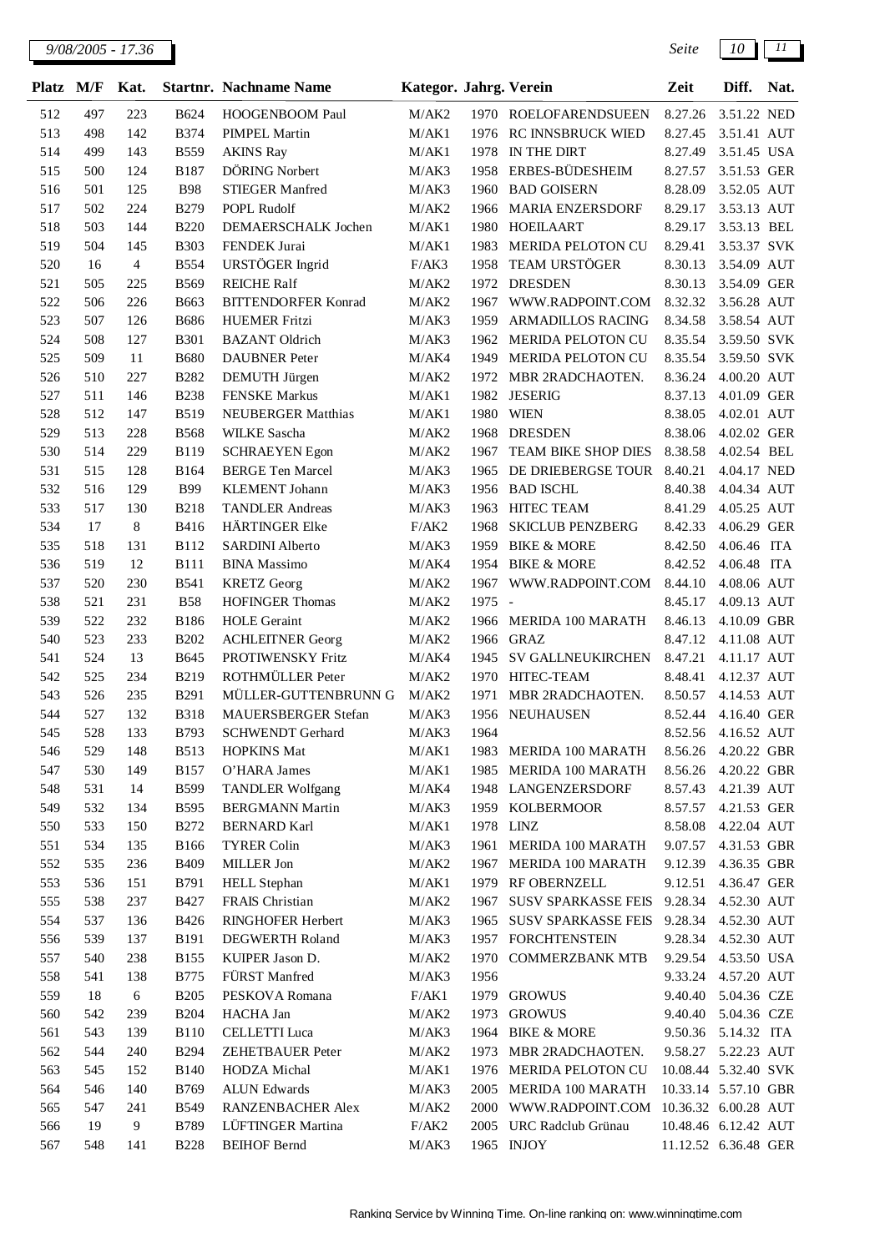| Platz | M/F | Kat. |             | <b>Startnr. Nachname Name</b>    | Kategor. Jahrg. Verein |        |                                       | Zeit                 | Diff.       | Nat. |
|-------|-----|------|-------------|----------------------------------|------------------------|--------|---------------------------------------|----------------------|-------------|------|
| 512   | 497 | 223  | <b>B624</b> | <b>HOOGENBOOM Paul</b>           | M/AK2                  |        | 1970 ROELOFARENDSUEEN                 | 8.27.26              | 3.51.22 NED |      |
| 513   | 498 | 142  | <b>B374</b> | <b>PIMPEL Martin</b>             | M/AK1                  | 1976   | RC INNSBRUCK WIED                     | 8.27.45              | 3.51.41 AUT |      |
| 514   | 499 | 143  | <b>B559</b> | <b>AKINS Ray</b>                 | M/AK1                  | 1978   | IN THE DIRT                           | 8.27.49              | 3.51.45 USA |      |
| 515   | 500 | 124  | <b>B187</b> | DÖRING Norbert                   | M/AK3                  | 1958   | ERBES-BÜDESHEIM                       | 8.27.57              | 3.51.53 GER |      |
| 516   | 501 | 125  | <b>B98</b>  | STIEGER Manfred                  | M/AK3                  | 1960   | <b>BAD GOISERN</b>                    | 8.28.09              | 3.52.05 AUT |      |
| 517   | 502 | 224  | <b>B279</b> | POPL Rudolf                      | M/AK2                  | 1966   | <b>MARIA ENZERSDORF</b>               | 8.29.17              | 3.53.13 AUT |      |
| 518   | 503 | 144  | <b>B220</b> | DEMAERSCHALK Jochen              | M/AK1                  | 1980   | <b>HOEILAART</b>                      | 8.29.17              | 3.53.13 BEL |      |
| 519   | 504 | 145  | <b>B303</b> | FENDEK Jurai                     | M/AK1                  | 1983   | MERIDA PELOTON CU                     | 8.29.41              | 3.53.37 SVK |      |
| 520   | 16  | 4    | <b>B554</b> | URSTÖGER Ingrid                  | F/AK3                  | 1958   | TEAM URSTÖGER                         | 8.30.13              | 3.54.09 AUT |      |
| 521   | 505 | 225  | <b>B569</b> | <b>REICHE Ralf</b>               | M/AK2                  | 1972   | <b>DRESDEN</b>                        | 8.30.13              | 3.54.09 GER |      |
| 522   | 506 | 226  | <b>B663</b> | <b>BITTENDORFER Konrad</b>       | M/AK2                  | 1967   | WWW.RADPOINT.COM                      | 8.32.32              | 3.56.28 AUT |      |
| 523   | 507 | 126  | <b>B686</b> | <b>HUEMER Fritzi</b>             | M/AK3                  | 1959   | ARMADILLOS RACING                     | 8.34.58              | 3.58.54 AUT |      |
| 524   | 508 | 127  | <b>B301</b> | <b>BAZANT</b> Oldrich            | M/AK3                  | 1962   | MERIDA PELOTON CU                     | 8.35.54              | 3.59.50 SVK |      |
| 525   | 509 | 11   | <b>B680</b> | <b>DAUBNER</b> Peter             | M/AK4                  | 1949   | MERIDA PELOTON CU                     | 8.35.54              | 3.59.50 SVK |      |
| 526   | 510 | 227  | <b>B282</b> | DEMUTH Jürgen                    | M/AK2                  | 1972   | MBR 2RADCHAOTEN.                      | 8.36.24              | 4.00.20 AUT |      |
| 527   | 511 | 146  | <b>B238</b> | <b>FENSKE Markus</b>             | M/AK1                  | 1982   | <b>JESERIG</b>                        | 8.37.13              | 4.01.09 GER |      |
| 528   | 512 | 147  | <b>B519</b> | <b>NEUBERGER Matthias</b>        | M/AK1                  | 1980   | <b>WIEN</b>                           | 8.38.05              | 4.02.01 AUT |      |
| 529   | 513 | 228  | <b>B568</b> | WILKE Sascha                     | M/AK2                  | 1968   | <b>DRESDEN</b>                        | 8.38.06              | 4.02.02 GER |      |
| 530   | 514 | 229  | <b>B119</b> | <b>SCHRAEYEN Egon</b>            | M/AK2                  | 1967   | TEAM BIKE SHOP DIES                   | 8.38.58              | 4.02.54 BEL |      |
| 531   | 515 | 128  | <b>B164</b> | <b>BERGE Ten Marcel</b>          | M/AK3                  | 1965   | DE DRIEBERGSE TOUR                    | 8.40.21              | 4.04.17 NED |      |
| 532   | 516 | 129  | <b>B99</b>  | <b>KLEMENT</b> Johann            | M/AK3                  | 1956   | <b>BAD ISCHL</b>                      | 8.40.38              | 4.04.34 AUT |      |
| 533   | 517 | 130  | <b>B218</b> | <b>TANDLER Andreas</b>           | M/AK3                  | 1963   | <b>HITEC TEAM</b>                     | 8.41.29              | 4.05.25 AUT |      |
| 534   | 17  | 8    | <b>B416</b> | HÄRTINGER Elke                   | F/AK2                  | 1968   | <b>SKICLUB PENZBERG</b>               | 8.42.33              | 4.06.29 GER |      |
| 535   | 518 | 131  | <b>B112</b> | SARDINI Alberto                  | M/AK3                  | 1959   | <b>BIKE &amp; MORE</b>                | 8.42.50              | 4.06.46 ITA |      |
| 536   | 519 | 12   | <b>B111</b> | <b>BINA</b> Massimo              | M/AK4                  | 1954   | <b>BIKE &amp; MORE</b>                | 8.42.52              | 4.06.48 ITA |      |
| 537   | 520 | 230  | <b>B541</b> | <b>KRETZ</b> Georg               | M/AK2                  | 1967   | WWW.RADPOINT.COM                      | 8.44.10              | 4.08.06 AUT |      |
| 538   | 521 | 231  | <b>B58</b>  | <b>HOFINGER Thomas</b>           | M/AK2                  | 1975 - |                                       | 8.45.17              | 4.09.13 AUT |      |
| 539   | 522 | 232  | <b>B186</b> | <b>HOLE</b> Geraint              | M/AK2                  | 1966   | MERIDA 100 MARATH                     | 8.46.13              | 4.10.09 GBR |      |
| 540   | 523 | 233  | <b>B202</b> | <b>ACHLEITNER Georg</b>          | M/AK2                  | 1966   | <b>GRAZ</b>                           | 8.47.12              | 4.11.08 AUT |      |
| 541   | 524 | 13   | B645        | PROTIWENSKY Fritz                | M/AK4                  | 1945   | SV GALLNEUKIRCHEN                     | 8.47.21              | 4.11.17 AUT |      |
| 542   | 525 | 234  | B219        | ROTHMÜLLER Peter                 | M/AK2                  | 1970   | HITEC-TEAM                            | 8.48.41              | 4.12.37 AUT |      |
| 543   | 526 | 235  | <b>B291</b> | MÜLLER-GUTTENBRUNN G             | M/AK2                  | 1971   | MBR 2RADCHAOTEN.                      | 8.50.57              | 4.14.53 AUT |      |
| 544   | 527 | 132  | <b>B318</b> | MAUERSBERGER Stefan              | M/AK3                  |        | 1956 NEUHAUSEN                        | 8.52.44              | 4.16.40 GER |      |
| 545   | 528 | 133  | B793        | <b>SCHWENDT</b> Gerhard          | M/AK3                  | 1964   |                                       | 8.52.56 4.16.52 AUT  |             |      |
| 546   | 529 | 148  | <b>B513</b> | <b>HOPKINS Mat</b>               | M/AK1                  | 1983   | MERIDA 100 MARATH                     | 8.56.26 4.20.22 GBR  |             |      |
| 547   | 530 | 149  | <b>B157</b> | O'HARA James                     | M/AK1                  | 1985   | MERIDA 100 MARATH                     | 8.56.26              | 4.20.22 GBR |      |
| 548   | 531 | 14   | <b>B599</b> | <b>TANDLER Wolfgang</b>          | M/AK4                  | 1948   | LANGENZERSDORF                        | 8.57.43              | 4.21.39 AUT |      |
| 549   | 532 | 134  | <b>B595</b> | <b>BERGMANN Martin</b>           | M/AK3                  | 1959   | <b>KOLBERMOOR</b>                     | 8.57.57              | 4.21.53 GER |      |
| 550   | 533 | 150  | <b>B272</b> | <b>BERNARD Karl</b>              | M/AK1                  |        | 1978 LINZ                             | 8.58.08              | 4.22.04 AUT |      |
| 551   | 534 | 135  | <b>B166</b> | <b>TYRER Colin</b>               | M/AK3                  | 1961   | MERIDA 100 MARATH                     | 9.07.57              | 4.31.53 GBR |      |
| 552   | 535 | 236  | <b>B409</b> | MILLER Jon                       | M/AK2                  | 1967   | MERIDA 100 MARATH                     | 9.12.39              | 4.36.35 GBR |      |
| 553   | 536 | 151  | <b>B791</b> | <b>HELL Stephan</b>              | M/AK1                  | 1979   | RF OBERNZELL                          | 9.12.51              | 4.36.47 GER |      |
| 555   | 538 | 237  | <b>B427</b> | FRAIS Christian                  | M/AK2                  | 1967   | <b>SUSV SPARKASSE FEIS</b>            | 9.28.34              | 4.52.30 AUT |      |
| 554   | 537 | 136  | <b>B426</b> | RINGHOFER Herbert                | M/AK3                  | 1965   | SUSV SPARKASSE FEIS                   | 9.28.34              | 4.52.30 AUT |      |
| 556   | 539 | 137  | <b>B191</b> | <b>DEGWERTH Roland</b>           | M/AK3                  | 1957   | <b>FORCHTENSTEIN</b>                  | 9.28.34              | 4.52.30 AUT |      |
|       |     |      |             |                                  |                        |        |                                       |                      |             |      |
| 557   | 540 | 238  | <b>B155</b> | KUIPER Jason D.<br>FÜRST Manfred | M/AK2<br>M/AK3         | 1970   | <b>COMMERZBANK MTB</b>                | 9.29.54              | 4.53.50 USA |      |
| 558   | 541 | 138  | <b>B775</b> |                                  |                        | 1956   |                                       | 9.33.24              | 4.57.20 AUT |      |
| 559   | 18  | 6    | <b>B205</b> | PESKOVA Romana                   | F/AK1                  | 1979   | <b>GROWUS</b>                         | 9.40.40              | 5.04.36 CZE |      |
| 560   | 542 | 239  | <b>B204</b> | HACHA Jan                        | M/AK2                  | 1973   | <b>GROWUS</b>                         | 9.40.40              | 5.04.36 CZE |      |
| 561   | 543 | 139  | <b>B110</b> | <b>CELLETTI</b> Luca             | M/AK3                  | 1964   | <b>BIKE &amp; MORE</b>                | 9.50.36              | 5.14.32 ITA |      |
| 562   | 544 | 240  | <b>B294</b> | <b>ZEHETBAUER Peter</b>          | M/AK2                  | 1973   | MBR 2RADCHAOTEN.                      | 9.58.27 5.22.23 AUT  |             |      |
| 563   | 545 | 152  | <b>B140</b> | HODZA Michal                     | M/AK1                  | 1976   | MERIDA PELOTON CU                     | 10.08.44 5.32.40 SVK |             |      |
| 564   | 546 | 140  | B769        | <b>ALUN</b> Edwards              | M/AK3                  | 2005   | MERIDA 100 MARATH                     | 10.33.14 5.57.10 GBR |             |      |
| 565   | 547 | 241  | <b>B549</b> | RANZENBACHER Alex                | M/AK2                  | 2000   | WWW.RADPOINT.COM 10.36.32 6.00.28 AUT |                      |             |      |
| 566   | 19  | 9    | B789        | LÜFTINGER Martina                | F/AK2                  | 2005   | URC Radclub Grünau                    | 10.48.46 6.12.42 AUT |             |      |
| 567   | 548 | 141  | <b>B228</b> | <b>BEIHOF Bernd</b>              | M/AK3                  |        | 1965 INJOY                            | 11.12.52 6.36.48 GER |             |      |